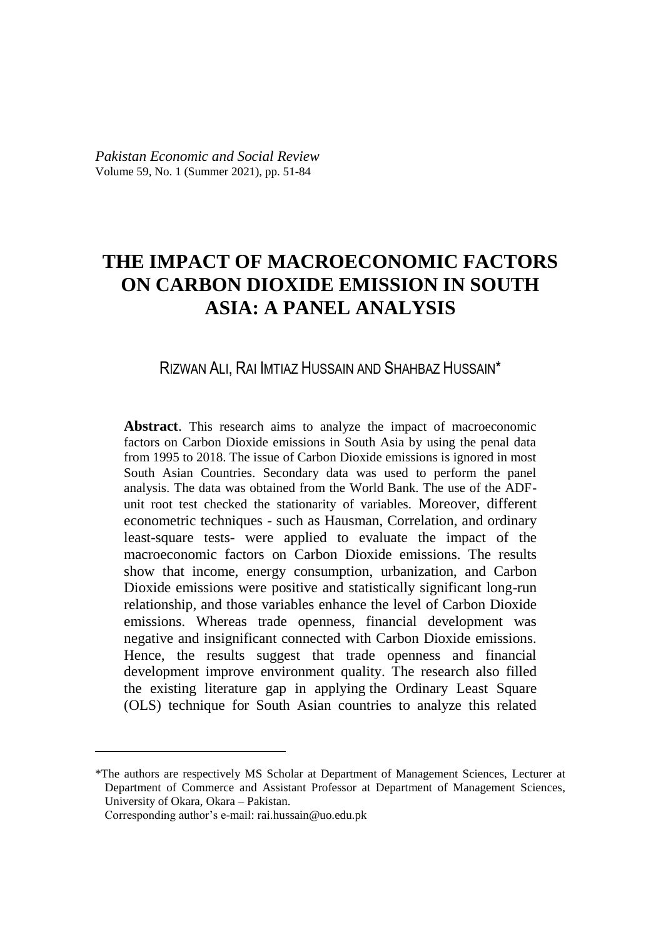# **THE IMPACT OF MACROECONOMIC FACTORS ON CARBON DIOXIDE EMISSION IN SOUTH ASIA: A PANEL ANALYSIS**

# RIZWAN ALI, RAI IMTIAZ HUSSAIN AND SHAHBAZ HUSSAIN\*

**Abstract**. This research aims to analyze the impact of macroeconomic factors on Carbon Dioxide emissions in South Asia by using the penal data from 1995 to 2018. The issue of Carbon Dioxide emissions is ignored in most South Asian Countries. Secondary data was used to perform the panel analysis. The data was obtained from the World Bank. The use of the ADFunit root test checked the stationarity of variables. Moreover, different econometric techniques - such as Hausman, Correlation, and ordinary least-square tests- were applied to evaluate the impact of the macroeconomic factors on Carbon Dioxide emissions. The results show that income, energy consumption, urbanization, and Carbon Dioxide emissions were positive and statistically significant long-run relationship, and those variables enhance the level of Carbon Dioxide emissions. Whereas trade openness, financial development was negative and insignificant connected with Carbon Dioxide emissions. Hence, the results suggest that trade openness and financial development improve environment quality. The research also filled the existing literature gap in applying the Ordinary Least Square (OLS) technique for South Asian countries to analyze this related

 $\overline{a}$ 

<sup>\*</sup>The authors are respectively MS Scholar at Department of Management Sciences, Lecturer at Department of Commerce and Assistant Professor at Department of Management Sciences, University of Okara, Okara – Pakistan.

Corresponding author's e-mail: rai.hussain@uo.edu.pk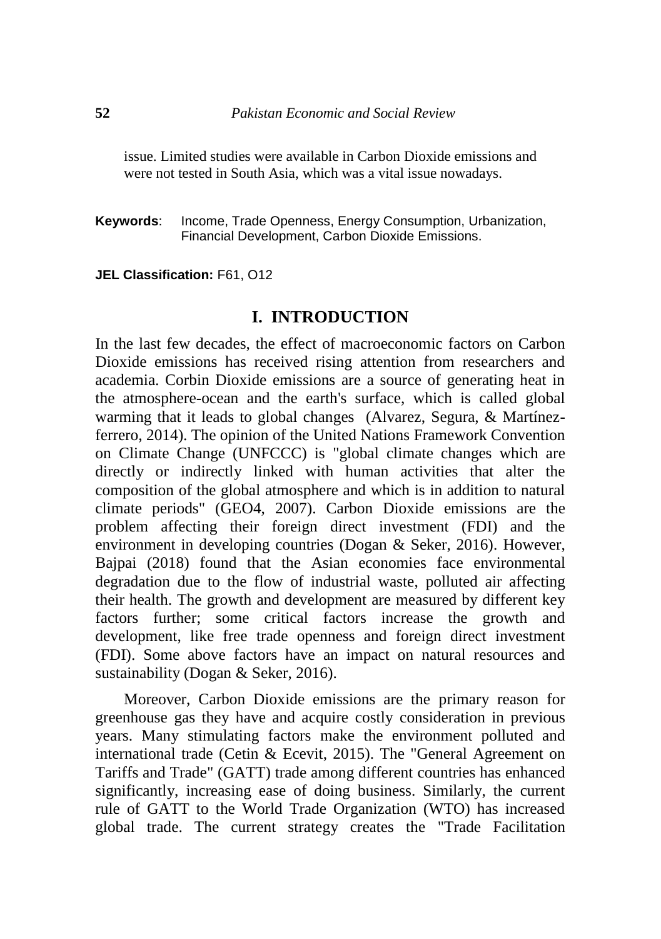issue. Limited studies were available in Carbon Dioxide emissions and were not tested in South Asia, which was a vital issue nowadays.

**Keywords**: Income, Trade Openness, Energy Consumption, Urbanization, Financial Development, Carbon Dioxide Emissions.

#### **JEL Classification:** F61, O12

### **I. INTRODUCTION**

In the last few decades, the effect of macroeconomic factors on Carbon Dioxide emissions has received rising attention from researchers and academia. Corbin Dioxide emissions are a source of generating heat in the atmosphere-ocean and the earth's surface, which is called global warming that it leads to global changes (Alvarez, Segura, & Martínezferrero, 2014). The opinion of the United Nations Framework Convention on Climate Change (UNFCCC) is "global climate changes which are directly or indirectly linked with human activities that alter the composition of the global atmosphere and which is in addition to natural climate periods" (GEO4, 2007). Carbon Dioxide emissions are the problem affecting their foreign direct investment (FDI) and the environment in developing countries (Dogan & Seker, 2016). However, Bajpai (2018) found that the Asian economies face environmental degradation due to the flow of industrial waste, polluted air affecting their health. The growth and development are measured by different key factors further; some critical factors increase the growth and development, like free trade openness and foreign direct investment (FDI). Some above factors have an impact on natural resources and sustainability (Dogan & Seker, 2016).

Moreover, Carbon Dioxide emissions are the primary reason for greenhouse gas they have and acquire costly consideration in previous years. Many stimulating factors make the environment polluted and international trade (Cetin & Ecevit, 2015). The "General Agreement on Tariffs and Trade" (GATT) trade among different countries has enhanced significantly, increasing ease of doing business. Similarly, the current rule of GATT to the World Trade Organization (WTO) has increased global trade. The current strategy creates the "Trade Facilitation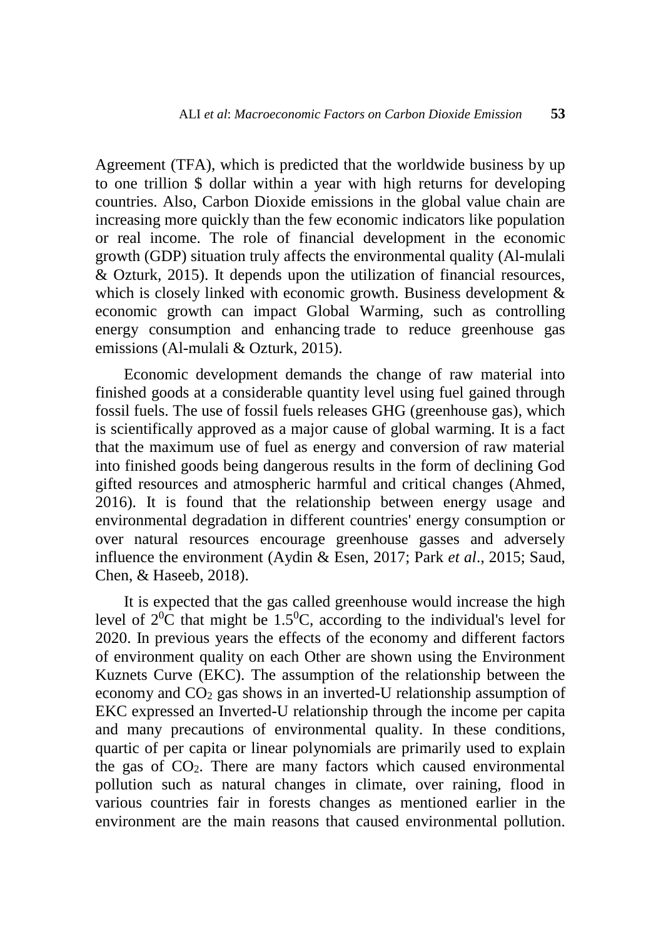Agreement (TFA), which is predicted that the worldwide business by up to one trillion \$ dollar within a year with high returns for developing countries. Also, Carbon Dioxide emissions in the global value chain are increasing more quickly than the few economic indicators like population or real income. The role of financial development in the economic growth (GDP) situation truly affects the environmental quality (Al-mulali & Ozturk, 2015). It depends upon the utilization of financial resources, which is closely linked with economic growth. Business development  $\&$ economic growth can impact Global Warming, such as controlling energy consumption and enhancing trade to reduce greenhouse gas emissions (Al-mulali & Ozturk, 2015).

Economic development demands the change of raw material into finished goods at a considerable quantity level using fuel gained through fossil fuels. The use of fossil fuels releases GHG (greenhouse gas), which is scientifically approved as a major cause of global warming. It is a fact that the maximum use of fuel as energy and conversion of raw material into finished goods being dangerous results in the form of declining God gifted resources and atmospheric harmful and critical changes (Ahmed, 2016). It is found that the relationship between energy usage and environmental degradation in different countries' energy consumption or over natural resources encourage greenhouse gasses and adversely influence the environment (Aydin & Esen, 2017; Park *et al*., 2015; Saud, Chen, & Haseeb, 2018).

It is expected that the gas called greenhouse would increase the high level of  $2^{0}C$  that might be 1.5<sup>0</sup>C, according to the individual's level for 2020. In previous years the effects of the economy and different factors of environment quality on each Other are shown using the Environment Kuznets Curve (EKC). The assumption of the relationship between the economy and CO<sup>2</sup> gas shows in an inverted-U relationship assumption of EKC expressed an Inverted-U relationship through the income per capita and many precautions of environmental quality. In these conditions, quartic of per capita or linear polynomials are primarily used to explain the gas of CO2. There are many factors which caused environmental pollution such as natural changes in climate, over raining, flood in various countries fair in forests changes as mentioned earlier in the environment are the main reasons that caused environmental pollution.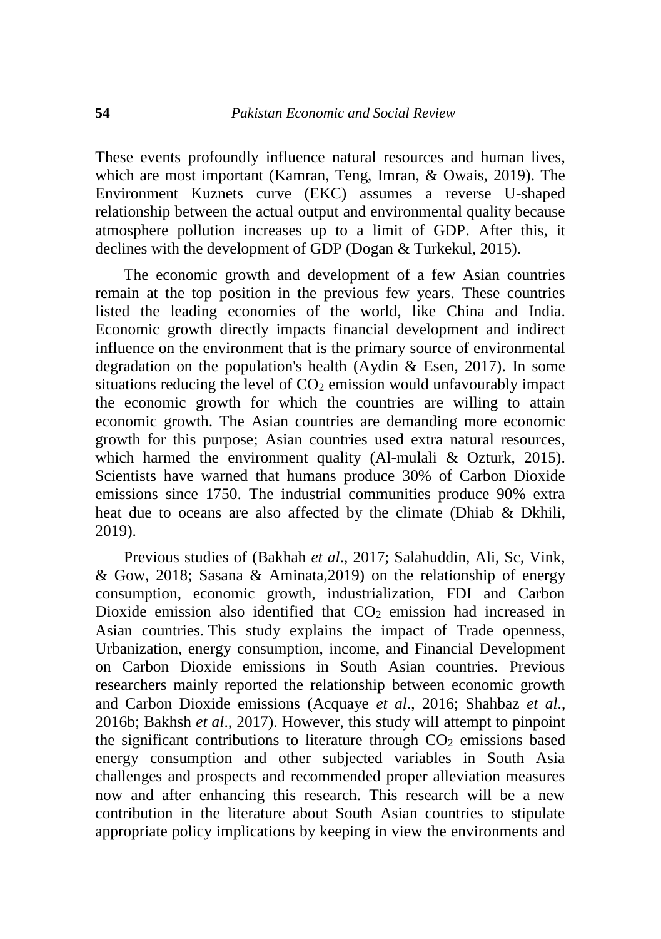These events profoundly influence natural resources and human lives, which are most important (Kamran, Teng, Imran, & Owais, 2019). The Environment Kuznets curve (EKC) assumes a reverse U-shaped relationship between the actual output and environmental quality because atmosphere pollution increases up to a limit of GDP. After this, it declines with the development of GDP (Dogan & Turkekul, 2015).

The economic growth and development of a few Asian countries remain at the top position in the previous few years. These countries listed the leading economies of the world, like China and India. Economic growth directly impacts financial development and indirect influence on the environment that is the primary source of environmental degradation on the population's health (Aydin & Esen, 2017). In some situations reducing the level of  $CO<sub>2</sub>$  emission would unfavourably impact the economic growth for which the countries are willing to attain economic growth. The Asian countries are demanding more economic growth for this purpose; Asian countries used extra natural resources, which harmed the environment quality (Al-mulali & Ozturk, 2015). Scientists have warned that humans produce 30% of Carbon Dioxide emissions since 1750. The industrial communities produce 90% extra heat due to oceans are also affected by the climate (Dhiab & Dkhili, 2019).

Previous studies of (Bakhah *et al*., 2017; Salahuddin, Ali, Sc, Vink, & Gow, 2018; Sasana & Aminata,2019) on the relationship of energy consumption, economic growth, industrialization, FDI and Carbon Dioxide emission also identified that  $CO<sub>2</sub>$  emission had increased in Asian countries. This study explains the impact of Trade openness, Urbanization, energy consumption, income, and Financial Development on Carbon Dioxide emissions in South Asian countries. Previous researchers mainly reported the relationship between economic growth and Carbon Dioxide emissions (Acquaye *et al*., 2016; Shahbaz *et al*., 2016b; Bakhsh *et al*., 2017). However, this study will attempt to pinpoint the significant contributions to literature through  $CO<sub>2</sub>$  emissions based energy consumption and other subjected variables in South Asia challenges and prospects and recommended proper alleviation measures now and after enhancing this research. This research will be a new contribution in the literature about South Asian countries to stipulate appropriate policy implications by keeping in view the environments and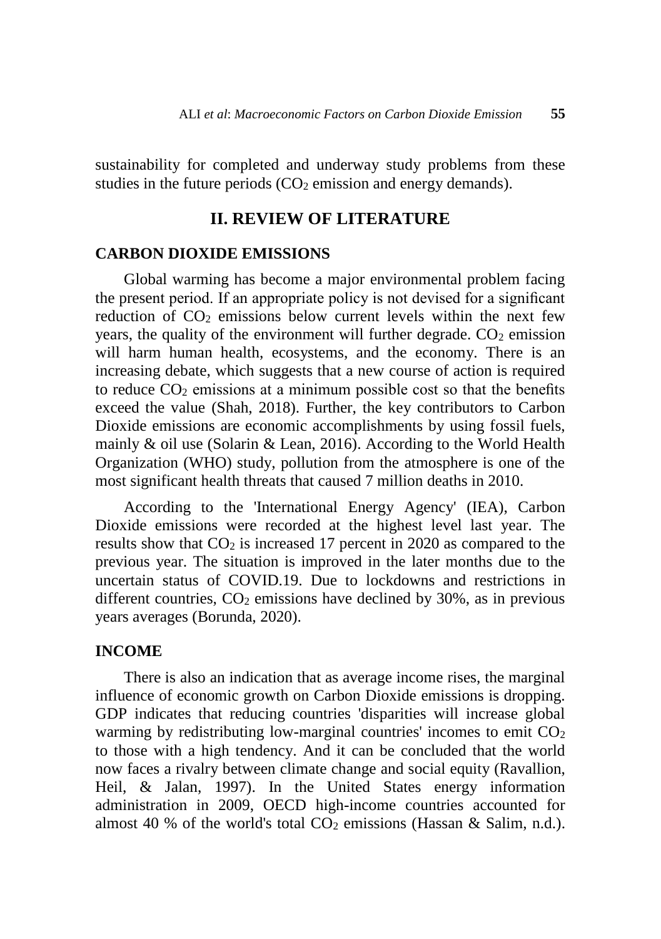sustainability for completed and underway study problems from these studies in the future periods  $(CO<sub>2</sub>$  emission and energy demands).

# **II. REVIEW OF LITERATURE**

### **CARBON DIOXIDE EMISSIONS**

Global warming has become a major environmental problem facing the present period. If an appropriate policy is not devised for a significant reduction of CO<sub>2</sub> emissions below current levels within the next few years, the quality of the environment will further degrade.  $CO<sub>2</sub>$  emission will harm human health, ecosystems, and the economy. There is an increasing debate, which suggests that a new course of action is required to reduce  $CO<sub>2</sub>$  emissions at a minimum possible cost so that the benefits exceed the value (Shah, 2018). Further, the key contributors to Carbon Dioxide emissions are economic accomplishments by using fossil fuels, mainly & oil use (Solarin & Lean, 2016). According to the World Health Organization (WHO) study, pollution from the atmosphere is one of the most significant health threats that caused 7 million deaths in 2010.

According to the 'International Energy Agency' (IEA), Carbon Dioxide emissions were recorded at the highest level last year. The results show that  $CO<sub>2</sub>$  is increased 17 percent in 2020 as compared to the previous year. The situation is improved in the later months due to the uncertain status of COVID.19. Due to lockdowns and restrictions in different countries,  $CO<sub>2</sub>$  emissions have declined by 30%, as in previous years averages (Borunda, 2020).

### **INCOME**

There is also an indication that as average income rises, the marginal influence of economic growth on Carbon Dioxide emissions is dropping. GDP indicates that reducing countries 'disparities will increase global warming by redistributing low-marginal countries' incomes to emit  $CO<sub>2</sub>$ to those with a high tendency. And it can be concluded that the world now faces a rivalry between climate change and social equity (Ravallion, Heil, & Jalan, 1997). In the United States energy information administration in 2009, OECD high-income countries accounted for almost 40 % of the world's total  $CO<sub>2</sub>$  emissions (Hassan & Salim, n.d.).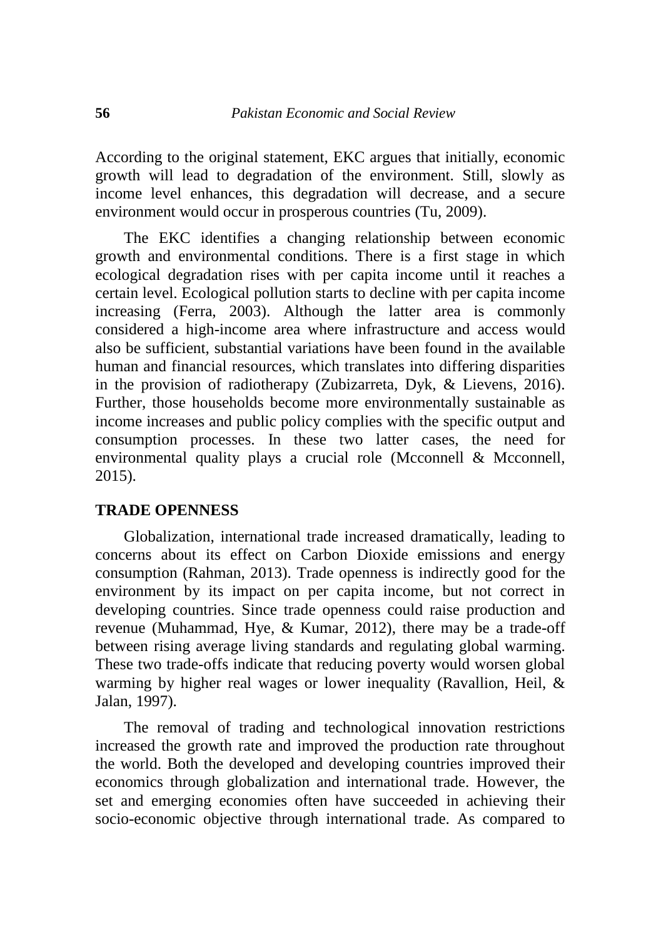According to the original statement, EKC argues that initially, economic growth will lead to degradation of the environment. Still, slowly as income level enhances, this degradation will decrease, and a secure environment would occur in prosperous countries (Tu, 2009).

The EKC identifies a changing relationship between economic growth and environmental conditions. There is a first stage in which ecological degradation rises with per capita income until it reaches a certain level. Ecological pollution starts to decline with per capita income increasing (Ferra, 2003). Although the latter area is commonly considered a high-income area where infrastructure and access would also be sufficient, substantial variations have been found in the available human and financial resources, which translates into differing disparities in the provision of radiotherapy (Zubizarreta, Dyk, & Lievens, 2016). Further, those households become more environmentally sustainable as income increases and public policy complies with the specific output and consumption processes. In these two latter cases, the need for environmental quality plays a crucial role (Mcconnell & Mcconnell, 2015).

# **TRADE OPENNESS**

Globalization, international trade increased dramatically, leading to concerns about its effect on Carbon Dioxide emissions and energy consumption (Rahman, 2013). Trade openness is indirectly good for the environment by its impact on per capita income, but not correct in developing countries. Since trade openness could raise production and revenue (Muhammad, Hye, & Kumar, 2012), there may be a trade-off between rising average living standards and regulating global warming. These two trade-offs indicate that reducing poverty would worsen global warming by higher real wages or lower inequality (Ravallion, Heil, & Jalan, 1997).

The removal of trading and technological innovation restrictions increased the growth rate and improved the production rate throughout the world. Both the developed and developing countries improved their economics through globalization and international trade. However, the set and emerging economies often have succeeded in achieving their socio-economic objective through international trade. As compared to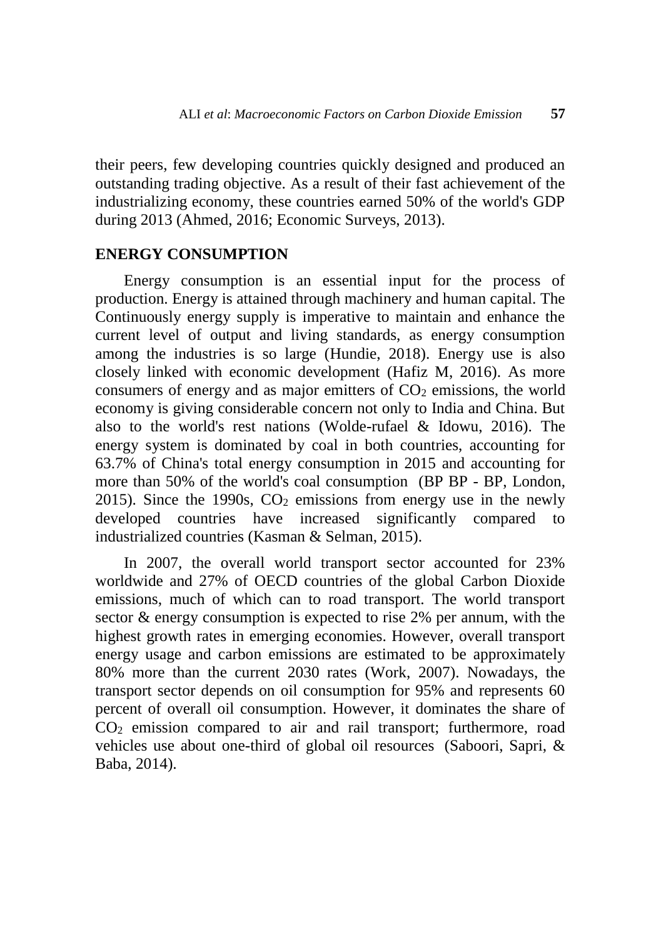their peers, few developing countries quickly designed and produced an outstanding trading objective. As a result of their fast achievement of the industrializing economy, these countries earned 50% of the world's GDP during 2013 (Ahmed, 2016; Economic Surveys, 2013).

# **ENERGY CONSUMPTION**

Energy consumption is an essential input for the process of production. Energy is attained through machinery and human capital. The Continuously energy supply is imperative to maintain and enhance the current level of output and living standards, as energy consumption among the industries is so large (Hundie, 2018). Energy use is also closely linked with economic development (Hafiz M, 2016). As more consumers of energy and as major emitters of  $CO<sub>2</sub>$  emissions, the world economy is giving considerable concern not only to India and China. But also to the world's rest nations (Wolde-rufael & Idowu, 2016). The energy system is dominated by coal in both countries, accounting for 63.7% of China's total energy consumption in 2015 and accounting for more than 50% of the world's coal consumption (BP BP - BP, London, 2015). Since the 1990s,  $CO<sub>2</sub>$  emissions from energy use in the newly developed countries have increased significantly compared to industrialized countries (Kasman & Selman, 2015).

In 2007, the overall world transport sector accounted for 23% worldwide and 27% of OECD countries of the global Carbon Dioxide emissions, much of which can to road transport. The world transport sector & energy consumption is expected to rise 2% per annum, with the highest growth rates in emerging economies. However, overall transport energy usage and carbon emissions are estimated to be approximately 80% more than the current 2030 rates (Work, 2007). Nowadays, the transport sector depends on oil consumption for 95% and represents 60 percent of overall oil consumption. However, it dominates the share of CO<sup>2</sup> emission compared to air and rail transport; furthermore, road vehicles use about one-third of global oil resources (Saboori, Sapri, & Baba, 2014).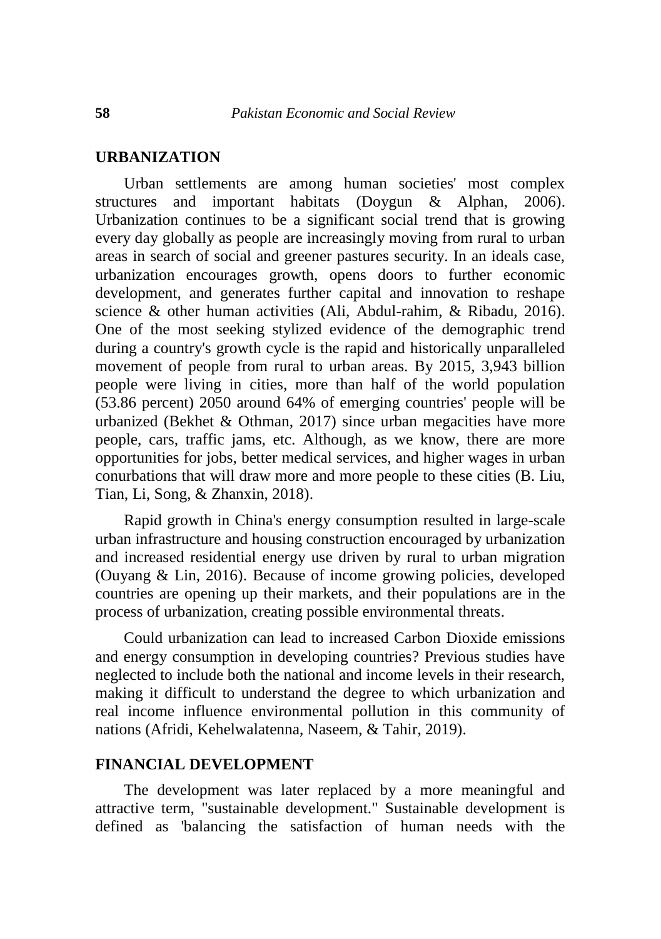### **URBANIZATION**

Urban settlements are among human societies' most complex structures and important habitats (Doygun & Alphan, 2006). Urbanization continues to be a significant social trend that is growing every day globally as people are increasingly moving from rural to urban areas in search of social and greener pastures security. In an ideals case, urbanization encourages growth, opens doors to further economic development, and generates further capital and innovation to reshape science & other human activities (Ali, Abdul-rahim, & Ribadu, 2016). One of the most seeking stylized evidence of the demographic trend during a country's growth cycle is the rapid and historically unparalleled movement of people from rural to urban areas. By 2015, 3,943 billion people were living in cities, more than half of the world population (53.86 percent) 2050 around 64% of emerging countries' people will be urbanized (Bekhet & Othman, 2017) since urban megacities have more people, cars, traffic jams, etc. Although, as we know, there are more opportunities for jobs, better medical services, and higher wages in urban conurbations that will draw more and more people to these cities (B. Liu, Tian, Li, Song, & Zhanxin, 2018).

Rapid growth in China's energy consumption resulted in large-scale urban infrastructure and housing construction encouraged by urbanization and increased residential energy use driven by rural to urban migration (Ouyang & Lin, 2016). Because of income growing policies, developed countries are opening up their markets, and their populations are in the process of urbanization, creating possible environmental threats.

Could urbanization can lead to increased Carbon Dioxide emissions and energy consumption in developing countries? Previous studies have neglected to include both the national and income levels in their research, making it difficult to understand the degree to which urbanization and real income influence environmental pollution in this community of nations (Afridi, Kehelwalatenna, Naseem, & Tahir, 2019).

# **FINANCIAL DEVELOPMENT**

The development was later replaced by a more meaningful and attractive term, "sustainable development." Sustainable development is defined as 'balancing the satisfaction of human needs with the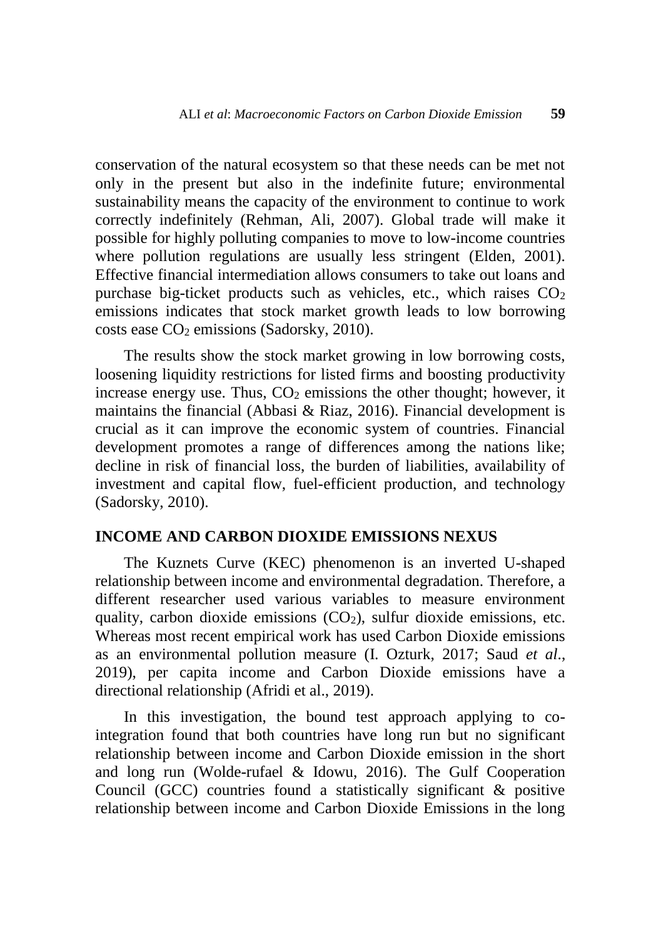conservation of the natural ecosystem so that these needs can be met not only in the present but also in the indefinite future; environmental sustainability means the capacity of the environment to continue to work correctly indefinitely (Rehman, Ali, 2007). Global trade will make it possible for highly polluting companies to move to low-income countries where pollution regulations are usually less stringent (Elden, 2001). Effective financial intermediation allows consumers to take out loans and purchase big-ticket products such as vehicles, etc., which raises  $CO<sub>2</sub>$ emissions indicates that stock market growth leads to low borrowing costs ease  $CO<sub>2</sub>$  emissions (Sadorsky, 2010).

The results show the stock market growing in low borrowing costs, loosening liquidity restrictions for listed firms and boosting productivity increase energy use. Thus,  $CO<sub>2</sub>$  emissions the other thought; however, it maintains the financial (Abbasi & Riaz, 2016). Financial development is crucial as it can improve the economic system of countries. Financial development promotes a range of differences among the nations like; decline in risk of financial loss, the burden of liabilities, availability of investment and capital flow, fuel-efficient production, and technology (Sadorsky, 2010).

# **INCOME AND CARBON DIOXIDE EMISSIONS NEXUS**

The Kuznets Curve (KEC) phenomenon is an inverted U-shaped relationship between income and environmental degradation. Therefore, a different researcher used various variables to measure environment quality, carbon dioxide emissions  $(CO<sub>2</sub>)$ , sulfur dioxide emissions, etc. Whereas most recent empirical work has used Carbon Dioxide emissions as an environmental pollution measure (I. Ozturk, 2017; Saud *et al*., 2019), per capita income and Carbon Dioxide emissions have a directional relationship (Afridi et al., 2019).

In this investigation, the bound test approach applying to cointegration found that both countries have long run but no significant relationship between income and Carbon Dioxide emission in the short and long run (Wolde-rufael & Idowu, 2016). The Gulf Cooperation Council (GCC) countries found a statistically significant & positive relationship between income and Carbon Dioxide Emissions in the long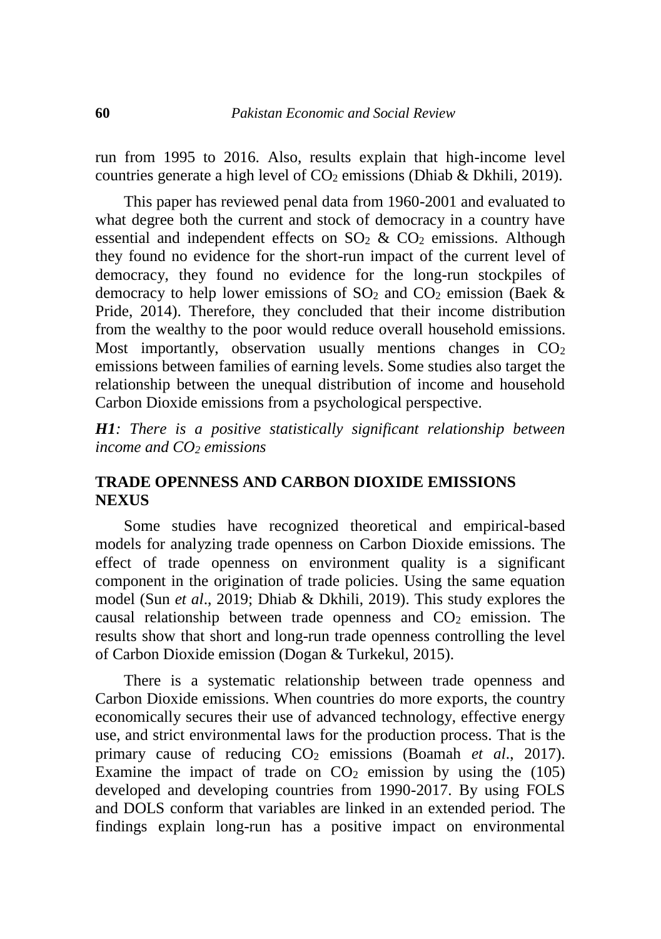run from 1995 to 2016. Also, results explain that high-income level countries generate a high level of  $CO<sub>2</sub>$  emissions (Dhiab & Dkhili, 2019).

This paper has reviewed penal data from 1960-2001 and evaluated to what degree both the current and stock of democracy in a country have essential and independent effects on  $SO_2 \& CO_2$  emissions. Although they found no evidence for the short-run impact of the current level of democracy, they found no evidence for the long-run stockpiles of democracy to help lower emissions of  $SO_2$  and  $CO_2$  emission (Baek & Pride, 2014). Therefore, they concluded that their income distribution from the wealthy to the poor would reduce overall household emissions. Most importantly, observation usually mentions changes in  $CO<sub>2</sub>$ emissions between families of earning levels. Some studies also target the relationship between the unequal distribution of income and household Carbon Dioxide emissions from a psychological perspective.

*H1: There is a positive statistically significant relationship between income and CO<sup>2</sup> emissions*

# **TRADE OPENNESS AND CARBON DIOXIDE EMISSIONS NEXUS**

Some studies have recognized theoretical and empirical-based models for analyzing trade openness on Carbon Dioxide emissions. The effect of trade openness on environment quality is a significant component in the origination of trade policies. Using the same equation model (Sun *et al*., 2019; Dhiab & Dkhili, 2019). This study explores the causal relationship between trade openness and  $CO<sub>2</sub>$  emission. The results show that short and long-run trade openness controlling the level of Carbon Dioxide emission (Dogan & Turkekul, 2015).

There is a systematic relationship between trade openness and Carbon Dioxide emissions. When countries do more exports, the country economically secures their use of advanced technology, effective energy use, and strict environmental laws for the production process. That is the primary cause of reducing CO<sup>2</sup> emissions (Boamah *et al*., 2017). Examine the impact of trade on  $CO<sub>2</sub>$  emission by using the (105) developed and developing countries from 1990-2017. By using FOLS and DOLS conform that variables are linked in an extended period. The findings explain long-run has a positive impact on environmental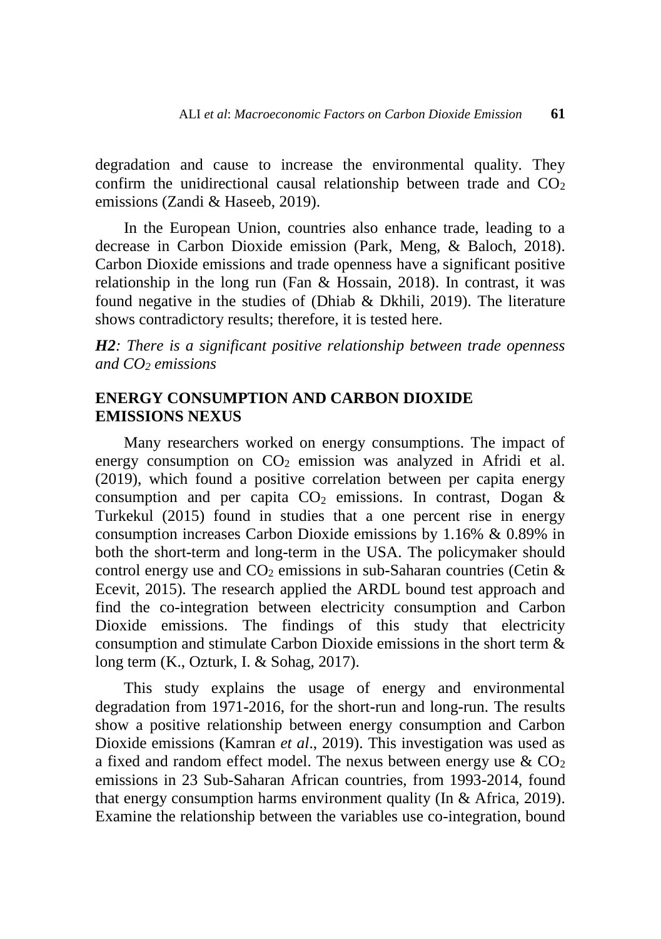degradation and cause to increase the environmental quality. They confirm the unidirectional causal relationship between trade and  $CO<sub>2</sub>$ emissions (Zandi & Haseeb, 2019).

In the European Union, countries also enhance trade, leading to a decrease in Carbon Dioxide emission (Park, Meng, & Baloch, 2018). Carbon Dioxide emissions and trade openness have a significant positive relationship in the long run (Fan & Hossain, 2018). In contrast, it was found negative in the studies of (Dhiab & Dkhili, 2019). The literature shows contradictory results; therefore, it is tested here.

*H2: There is a significant positive relationship between trade openness and CO<sup>2</sup> emissions*

# **ENERGY CONSUMPTION AND CARBON DIOXIDE EMISSIONS NEXUS**

Many researchers worked on energy consumptions. The impact of energy consumption on  $CO<sub>2</sub>$  emission was analyzed in Afridi et al. (2019), which found a positive correlation between per capita energy consumption and per capita  $CO<sub>2</sub>$  emissions. In contrast, Dogan & Turkekul (2015) found in studies that a one percent rise in energy consumption increases Carbon Dioxide emissions by 1.16% & 0.89% in both the short-term and long-term in the USA. The policymaker should control energy use and  $CO<sub>2</sub>$  emissions in sub-Saharan countries (Cetin & Ecevit, 2015). The research applied the ARDL bound test approach and find the co-integration between electricity consumption and Carbon Dioxide emissions. The findings of this study that electricity consumption and stimulate Carbon Dioxide emissions in the short term & long term (K., Ozturk, I. & Sohag, 2017).

This study explains the usage of energy and environmental degradation from 1971-2016, for the short-run and long-run. The results show a positive relationship between energy consumption and Carbon Dioxide emissions (Kamran *et al*., 2019). This investigation was used as a fixed and random effect model. The nexus between energy use  $\&$  CO<sub>2</sub> emissions in 23 Sub-Saharan African countries, from 1993-2014, found that energy consumption harms environment quality (In & Africa, 2019). Examine the relationship between the variables use co-integration, bound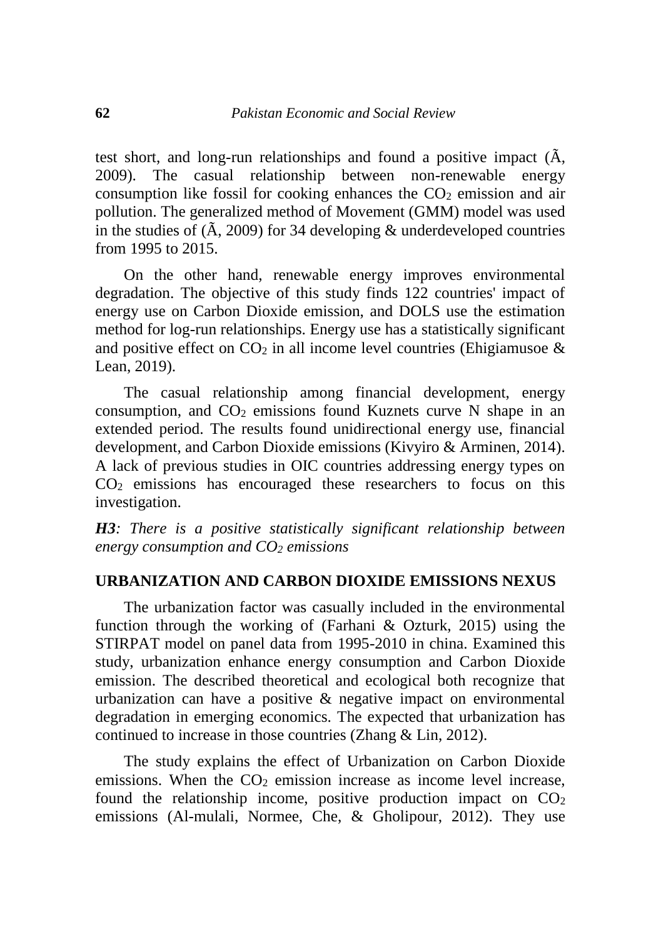test short, and long-run relationships and found a positive impact (Ã, 2009). The casual relationship between non-renewable energy consumption like fossil for cooking enhances the  $CO<sub>2</sub>$  emission and air pollution. The generalized method of Movement (GMM) model was used in the studies of  $(A, 2009)$  for 34 developing  $\&$  underdeveloped countries from 1995 to 2015.

On the other hand, renewable energy improves environmental degradation. The objective of this study finds 122 countries' impact of energy use on Carbon Dioxide emission, and DOLS use the estimation method for log-run relationships. Energy use has a statistically significant and positive effect on  $CO<sub>2</sub>$  in all income level countries (Ehigiamusoe & Lean, 2019).

The casual relationship among financial development, energy consumption, and  $CO<sub>2</sub>$  emissions found Kuznets curve N shape in an extended period. The results found unidirectional energy use, financial development, and Carbon Dioxide emissions (Kivyiro & Arminen, 2014). A lack of previous studies in OIC countries addressing energy types on CO<sup>2</sup> emissions has encouraged these researchers to focus on this investigation.

*H3: There is a positive statistically significant relationship between energy consumption and CO<sup>2</sup> emissions*

### **URBANIZATION AND CARBON DIOXIDE EMISSIONS NEXUS**

The urbanization factor was casually included in the environmental function through the working of (Farhani & Ozturk, 2015) using the STIRPAT model on panel data from 1995-2010 in china. Examined this study, urbanization enhance energy consumption and Carbon Dioxide emission. The described theoretical and ecological both recognize that urbanization can have a positive & negative impact on environmental degradation in emerging economics. The expected that urbanization has continued to increase in those countries (Zhang & Lin, 2012).

The study explains the effect of Urbanization on Carbon Dioxide emissions. When the  $CO<sub>2</sub>$  emission increase as income level increase, found the relationship income, positive production impact on  $CO<sub>2</sub>$ emissions (Al-mulali, Normee, Che, & Gholipour, 2012). They use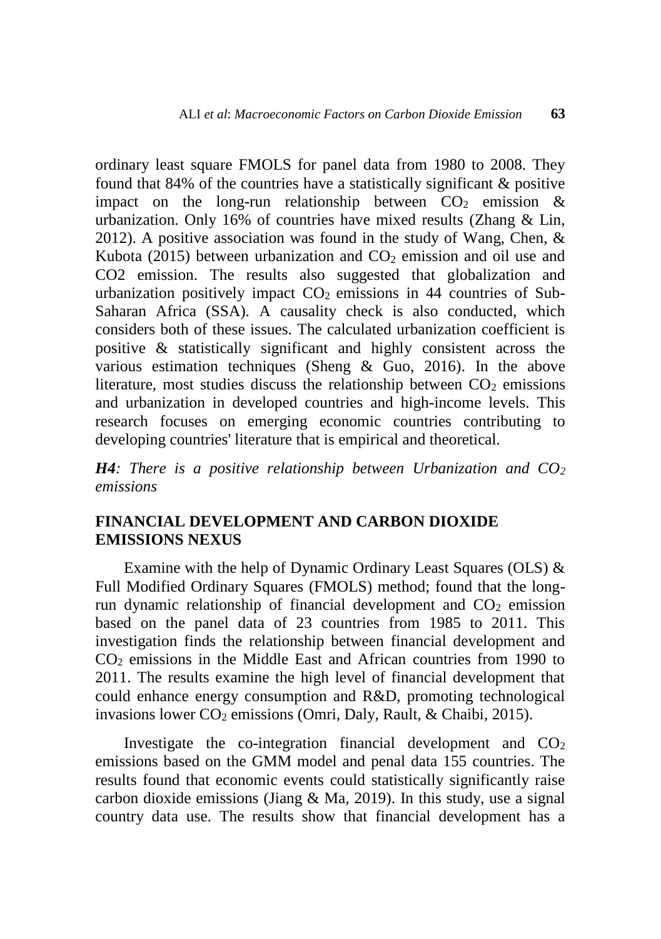ordinary least square FMOLS for panel data from 1980 to 2008. They found that 84% of the countries have a statistically significant & positive impact on the long-run relationship between  $CO<sub>2</sub>$  emission & urbanization. Only 16% of countries have mixed results (Zhang & Lin, 2012). A positive association was found in the study of Wang, Chen, & Kubota (2015) between urbanization and  $CO<sub>2</sub>$  emission and oil use and CO2 emission. The results also suggested that globalization and urbanization positively impact  $CO<sub>2</sub>$  emissions in 44 countries of Sub-Saharan Africa (SSA). A causality check is also conducted, which considers both of these issues. The calculated urbanization coefficient is positive & statistically significant and highly consistent across the various estimation techniques (Sheng & Guo, 2016). In the above literature, most studies discuss the relationship between  $CO<sub>2</sub>$  emissions and urbanization in developed countries and high-income levels. This research focuses on emerging economic countries contributing to developing countries' literature that is empirical and theoretical.

*H4: There is a positive relationship between Urbanization and CO<sup>2</sup> emissions*

# **FINANCIAL DEVELOPMENT AND CARBON DIOXIDE EMISSIONS NEXUS**

Examine with the help of Dynamic Ordinary Least Squares (OLS) & Full Modified Ordinary Squares (FMOLS) method; found that the longrun dynamic relationship of financial development and  $CO<sub>2</sub>$  emission based on the panel data of 23 countries from 1985 to 2011. This investigation finds the relationship between financial development and CO<sup>2</sup> emissions in the Middle East and African countries from 1990 to 2011. The results examine the high level of financial development that could enhance energy consumption and R&D, promoting technological invasions lower  $CO_2$  emissions (Omri, Daly, Rault, & Chaibi, 2015).

Investigate the co-integration financial development and  $CO<sub>2</sub>$ emissions based on the GMM model and penal data 155 countries. The results found that economic events could statistically significantly raise carbon dioxide emissions (Jiang  $& Ma$ , 2019). In this study, use a signal country data use. The results show that financial development has a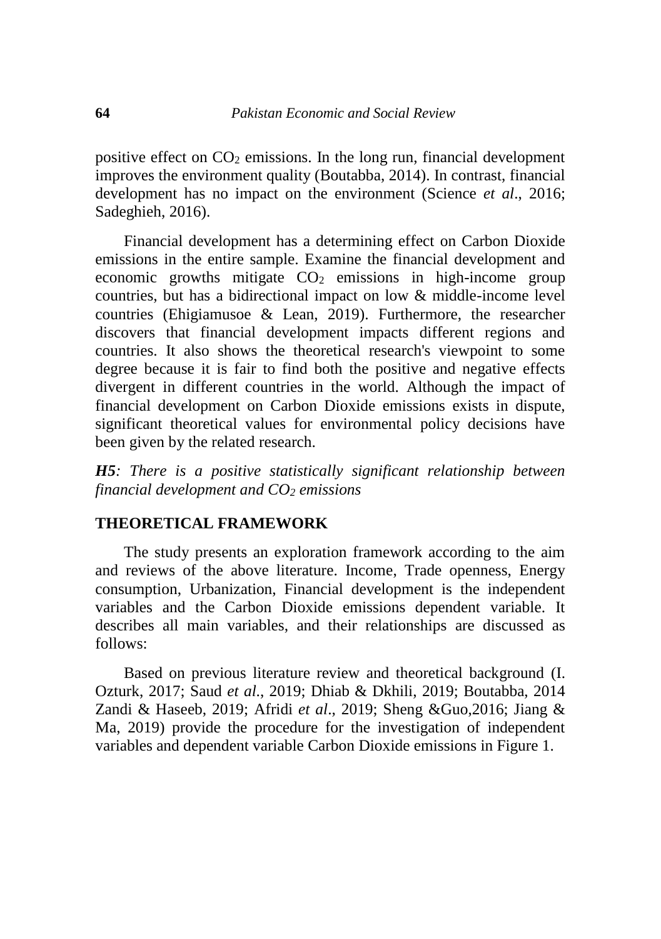positive effect on  $CO<sub>2</sub>$  emissions. In the long run, financial development improves the environment quality (Boutabba, 2014). In contrast, financial development has no impact on the environment (Science *et al*., 2016; Sadeghieh, 2016).

Financial development has a determining effect on Carbon Dioxide emissions in the entire sample. Examine the financial development and economic growths mitigate  $CO<sub>2</sub>$  emissions in high-income group countries, but has a bidirectional impact on low & middle-income level countries (Ehigiamusoe & Lean, 2019). Furthermore, the researcher discovers that financial development impacts different regions and countries. It also shows the theoretical research's viewpoint to some degree because it is fair to find both the positive and negative effects divergent in different countries in the world. Although the impact of financial development on Carbon Dioxide emissions exists in dispute, significant theoretical values for environmental policy decisions have been given by the related research.

*H5: There is a positive statistically significant relationship between financial development and CO<sup>2</sup> emissions* 

# **THEORETICAL FRAMEWORK**

The study presents an exploration framework according to the aim and reviews of the above literature. Income, Trade openness, Energy consumption, Urbanization, Financial development is the independent variables and the Carbon Dioxide emissions dependent variable. It describes all main variables, and their relationships are discussed as follows:

Based on previous literature review and theoretical background (I. Ozturk, 2017; Saud *et al*., 2019; Dhiab & Dkhili, 2019; Boutabba, 2014 Zandi & Haseeb, 2019; Afridi *et al*., 2019; Sheng &Guo,2016; Jiang & Ma, 2019) provide the procedure for the investigation of independent variables and dependent variable Carbon Dioxide emissions in Figure 1.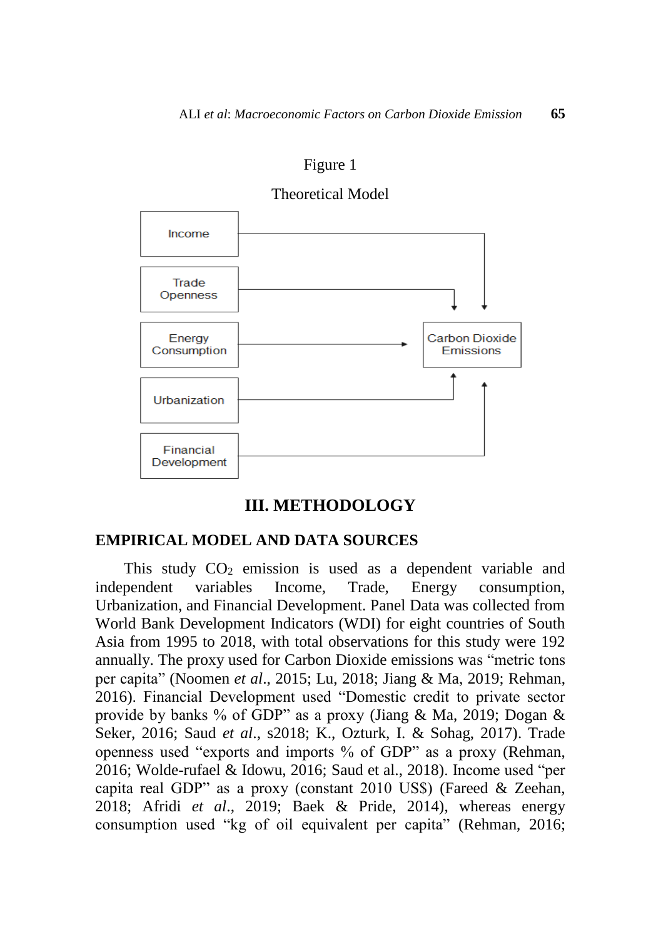



#### **III. METHODOLOGY**

### **EMPIRICAL MODEL AND DATA SOURCES**

This study  $CO<sub>2</sub>$  emission is used as a dependent variable and independent variables Income, Trade, Energy consumption, Urbanization, and Financial Development. Panel Data was collected from World Bank Development Indicators (WDI) for eight countries of South Asia from 1995 to 2018, with total observations for this study were 192 annually. The proxy used for Carbon Dioxide emissions was "metric tons per capita" (Noomen *et al*., 2015; Lu, 2018; Jiang & Ma, 2019; Rehman, 2016). Financial Development used "Domestic credit to private sector provide by banks % of GDP" as a proxy (Jiang & Ma, 2019; Dogan & Seker, 2016; Saud *et al*., s2018; K., Ozturk, I. & Sohag, 2017). Trade openness used "exports and imports % of GDP" as a proxy (Rehman, 2016; Wolde-rufael & Idowu, 2016; Saud et al., 2018). Income used "per capita real GDP" as a proxy (constant 2010 US\$) (Fareed & Zeehan, 2018; Afridi *et al*., 2019; Baek & Pride, 2014), whereas energy consumption used "kg of oil equivalent per capita" (Rehman, 2016;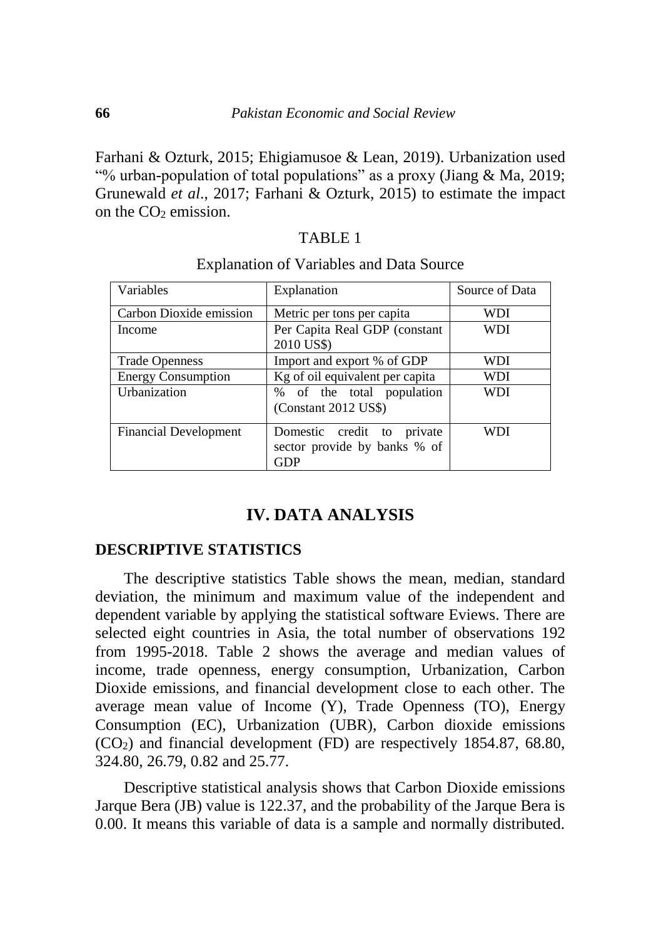Farhani & Ozturk, 2015; Ehigiamusoe & Lean, 2019). Urbanization used "% urban-population of total populations" as a proxy (Jiang & Ma, 2019; Grunewald *et al*., 2017; Farhani & Ozturk, 2015) to estimate the impact on the  $CO<sub>2</sub>$  emission.

# TABLE 1

| Variables                    | Explanation                     | Source of Data |  |
|------------------------------|---------------------------------|----------------|--|
| Carbon Dioxide emission      | Metric per tons per capita      | WDI            |  |
| Income                       | Per Capita Real GDP (constant   | WDI            |  |
|                              | 2010 US\$)                      |                |  |
| <b>Trade Openness</b>        | Import and export % of GDP      | WDI            |  |
| <b>Energy Consumption</b>    | Kg of oil equivalent per capita | WDI            |  |
| Urbanization                 | % of the total population       | WDI            |  |
|                              | (Constant 2012 US\$)            |                |  |
| <b>Financial Development</b> | Domestic credit to private      | WDI            |  |
|                              | sector provide by banks % of    |                |  |
|                              | GDP                             |                |  |

### Explanation of Variables and Data Source

# **IV. DATA ANALYSIS**

## **DESCRIPTIVE STATISTICS**

The descriptive statistics Table shows the mean, median, standard deviation, the minimum and maximum value of the independent and dependent variable by applying the statistical software Eviews. There are selected eight countries in Asia, the total number of observations 192 from 1995-2018. Table 2 shows the average and median values of income, trade openness, energy consumption, Urbanization, Carbon Dioxide emissions, and financial development close to each other. The average mean value of Income (Y), Trade Openness (TO), Energy Consumption (EC), Urbanization (UBR), Carbon dioxide emissions (CO2) and financial development (FD) are respectively 1854.87, 68.80, 324.80, 26.79, 0.82 and 25.77.

Descriptive statistical analysis shows that Carbon Dioxide emissions Jarque Bera (JB) value is 122.37, and the probability of the Jarque Bera is 0.00. It means this variable of data is a sample and normally distributed.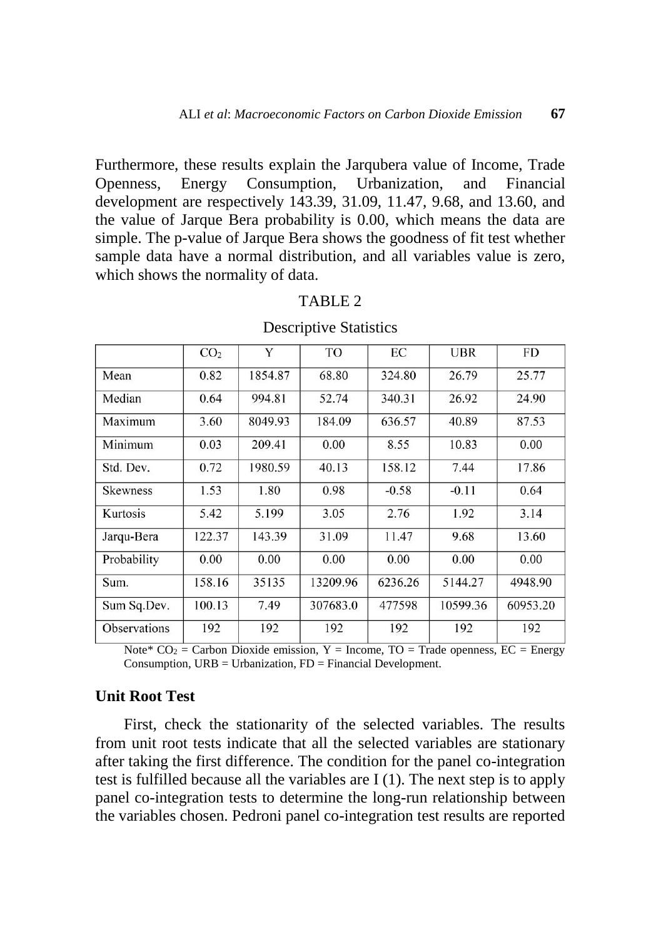Furthermore, these results explain the Jarqubera value of Income, Trade Openness, Energy Consumption, Urbanization, and Financial development are respectively 143.39, 31.09, 11.47, 9.68, and 13.60, and the value of Jarque Bera probability is 0.00, which means the data are simple. The p-value of Jarque Bera shows the goodness of fit test whether sample data have a normal distribution, and all variables value is zero, which shows the normality of data.

|                     | CO <sub>2</sub> | Y       | TO       | EC      | <b>UBR</b> | FD       |
|---------------------|-----------------|---------|----------|---------|------------|----------|
| Mean                | 0.82            | 1854.87 | 68.80    | 324.80  | 26.79      | 25.77    |
| Median              | 0.64            | 994.81  | 52.74    | 340.31  | 26.92      | 24.90    |
| Maximum             | 3.60            | 8049.93 | 184.09   | 636.57  | 40.89      | 87.53    |
| Minimum             | 0.03            | 209.41  | 0.00     | 8.55    | 10.83      | 0.00     |
| Std. Dev.           | 0.72            | 1980.59 | 40.13    | 158.12  | 7.44       | 17.86    |
| <b>Skewness</b>     | 1.53            | 1.80    | 0.98     | $-0.58$ | $-0.11$    | 0.64     |
| Kurtosis            | 5.42            | 5.199   | 3.05     | 2.76    | 1.92       | 3.14     |
| Jarqu-Bera          | 122.37          | 143.39  | 31.09    | 11.47   | 9.68       | 13.60    |
| Probability         | 0.00            | 0.00    | 0.00     | 0.00    | 0.00       | 0.00     |
| Sum.                | 158.16          | 35135   | 13209.96 | 6236.26 | 5144.27    | 4948.90  |
| Sum Sq.Dev.         | 100.13          | 7.49    | 307683.0 | 477598  | 10599.36   | 60953.20 |
| <b>Observations</b> | 192             | 192     | 192      | 192     | 192        | 192      |

### TABLE 2

### Descriptive Statistics

Note\*  $CO_2 =$  Carbon Dioxide emission, Y = Income, TO = Trade openness, EC = Energy Consumption, URB = Urbanization, FD = Financial Development.

# **Unit Root Test**

First, check the stationarity of the selected variables. The results from unit root tests indicate that all the selected variables are stationary after taking the first difference. The condition for the panel co-integration test is fulfilled because all the variables are I (1). The next step is to apply panel co-integration tests to determine the long-run relationship between the variables chosen. Pedroni panel co-integration test results are reported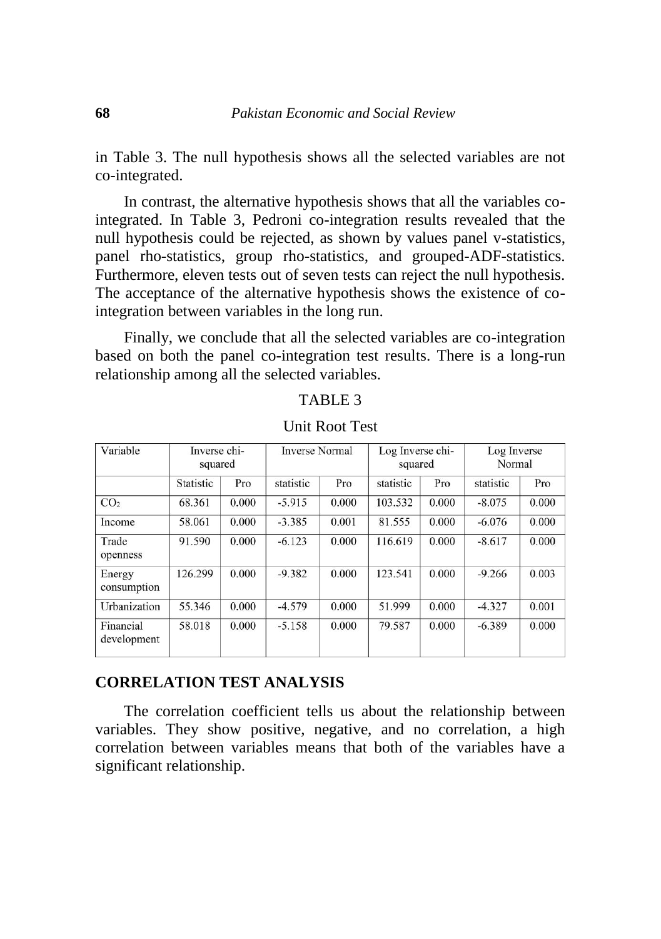in Table 3. The null hypothesis shows all the selected variables are not co-integrated.

In contrast, the alternative hypothesis shows that all the variables cointegrated. In Table 3, Pedroni co-integration results revealed that the null hypothesis could be rejected, as shown by values panel v-statistics, panel rho-statistics, group rho-statistics, and grouped-ADF-statistics. Furthermore, eleven tests out of seven tests can reject the null hypothesis. The acceptance of the alternative hypothesis shows the existence of cointegration between variables in the long run.

Finally, we conclude that all the selected variables are co-integration based on both the panel co-integration test results. There is a long-run relationship among all the selected variables.

### TABLE 3

| Variable                 | Inverse chi-<br>squared |       | <b>Inverse Normal</b> |       | Log Inverse chi-<br>squared |       | Log Inverse<br>Normal |       |
|--------------------------|-------------------------|-------|-----------------------|-------|-----------------------------|-------|-----------------------|-------|
|                          | Statistic               | Pro   | statistic             | Pro   | statistic                   | Pro   | statistic             | Pro   |
| CO <sub>2</sub>          | 68.361                  | 0.000 | $-5.915$              | 0.000 | 103.532                     | 0.000 | $-8.075$              | 0.000 |
| Income                   | 58.061                  | 0.000 | $-3.385$              | 0.001 | 81.555                      | 0.000 | $-6.076$              | 0.000 |
| Trade<br>openness        | 91.590                  | 0.000 | $-6.123$              | 0.000 | 116.619                     | 0.000 | $-8.617$              | 0.000 |
| Energy<br>consumption    | 126.299                 | 0.000 | $-9.382$              | 0.000 | 123.541                     | 0.000 | $-9.266$              | 0.003 |
| Urbanization             | 55.346                  | 0.000 | $-4.579$              | 0.000 | 51.999                      | 0.000 | $-4.327$              | 0.001 |
| Financial<br>development | 58.018                  | 0.000 | $-5.158$              | 0.000 | 79.587                      | 0.000 | $-6.389$              | 0.000 |

Unit Root Test

# **CORRELATION TEST ANALYSIS**

The correlation coefficient tells us about the relationship between variables. They show positive, negative, and no correlation, a high correlation between variables means that both of the variables have a significant relationship.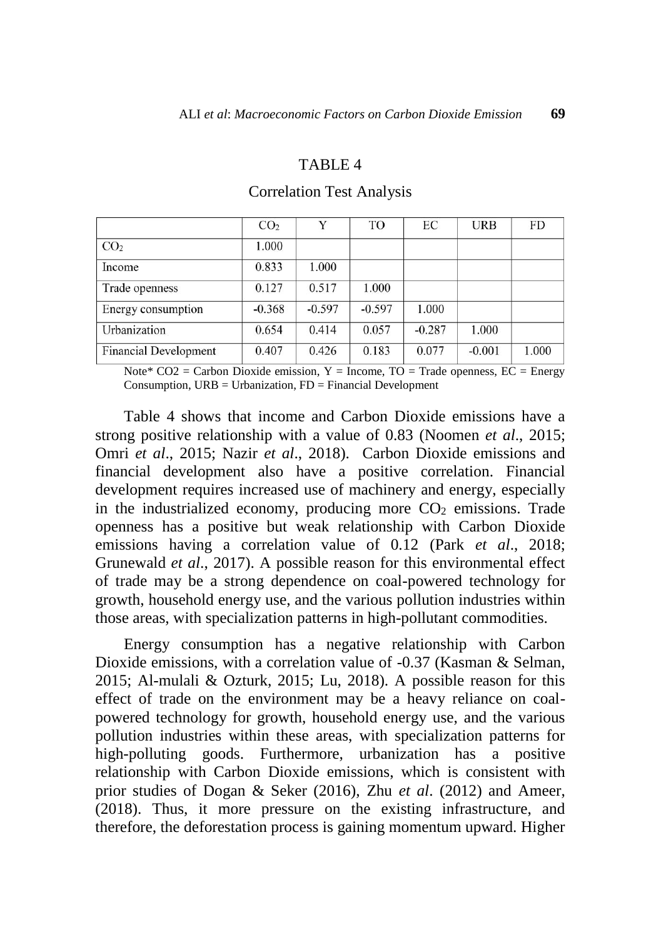### TABLE 4

|                              | CO <sub>2</sub> | Y        | TO       | EС       | <b>URB</b> | FD    |
|------------------------------|-----------------|----------|----------|----------|------------|-------|
| CO <sub>2</sub>              | 1.000           |          |          |          |            |       |
| Income                       | 0.833           | 1.000    |          |          |            |       |
| Trade openness               | 0.127           | 0.517    | 1.000    |          |            |       |
| Energy consumption           | $-0.368$        | $-0.597$ | $-0.597$ | 1.000    |            |       |
| Urbanization                 | 0.654           | 0.414    | 0.057    | $-0.287$ | 1.000      |       |
| <b>Financial Development</b> | 0.407           | 0.426    | 0.183    | 0.077    | $-0.001$   | 1.000 |

# Correlation Test Analysis

Note\*  $CO2 =$  Carbon Dioxide emission, Y = Income, TO = Trade openness, EC = Energy Consumption,  $URB = Urbanization$ ,  $FD = Financial Development$ 

Table 4 shows that income and Carbon Dioxide emissions have a strong positive relationship with a value of 0.83 (Noomen *et al*., 2015; Omri *et al*., 2015; Nazir *et al*., 2018). Carbon Dioxide emissions and financial development also have a positive correlation. Financial development requires increased use of machinery and energy, especially in the industrialized economy, producing more  $CO<sub>2</sub>$  emissions. Trade openness has a positive but weak relationship with Carbon Dioxide emissions having a correlation value of 0.12 (Park *et al*., 2018; Grunewald *et al*., 2017). A possible reason for this environmental effect of trade may be a strong dependence on coal-powered technology for growth, household energy use, and the various pollution industries within those areas, with specialization patterns in high-pollutant commodities.

Energy consumption has a negative relationship with Carbon Dioxide emissions, with a correlation value of -0.37 (Kasman & Selman, 2015; Al-mulali & Ozturk, 2015; Lu, 2018). A possible reason for this effect of trade on the environment may be a heavy reliance on coalpowered technology for growth, household energy use, and the various pollution industries within these areas, with specialization patterns for high-polluting goods. Furthermore, urbanization has a positive relationship with Carbon Dioxide emissions, which is consistent with prior studies of Dogan & Seker (2016), Zhu *et al*. (2012) and Ameer, (2018). Thus, it more pressure on the existing infrastructure, and therefore, the deforestation process is gaining momentum upward. Higher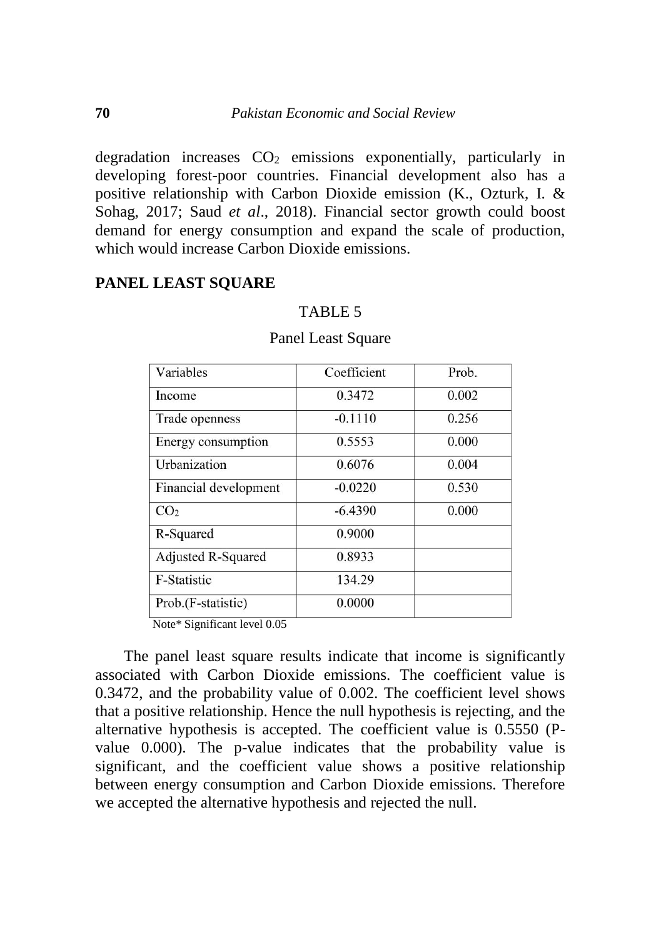degradation increases  $CO<sub>2</sub>$  emissions exponentially, particularly in developing forest-poor countries. Financial development also has a positive relationship with Carbon Dioxide emission (K., Ozturk, I. & Sohag, 2017; Saud *et al*., 2018). Financial sector growth could boost demand for energy consumption and expand the scale of production, which would increase Carbon Dioxide emissions.

# **PANEL LEAST SQUARE**

### TABLE 5

| Variables                 | Coefficient | Prob. |
|---------------------------|-------------|-------|
| Income                    | 0.3472      | 0.002 |
| Trade openness            | $-0.1110$   | 0.256 |
| Energy consumption        | 0.5553      | 0.000 |
| Urbanization              | 0.6076      | 0.004 |
| Financial development     | $-0.0220$   | 0.530 |
| CO <sub>2</sub>           | $-6.4390$   | 0.000 |
| R-Squared                 | 0.9000      |       |
| <b>Adjusted R-Squared</b> | 0.8933      |       |
| <b>F-Statistic</b>        | 134.29      |       |
| Prob.(F-statistic)        | 0.0000      |       |
| $\cdots$ $\cdots$         |             |       |

#### Panel Least Square

Note\* Significant level 0.05

The panel least square results indicate that income is significantly associated with Carbon Dioxide emissions. The coefficient value is 0.3472, and the probability value of 0.002. The coefficient level shows that a positive relationship. Hence the null hypothesis is rejecting, and the alternative hypothesis is accepted. The coefficient value is 0.5550 (Pvalue 0.000). The p-value indicates that the probability value is significant, and the coefficient value shows a positive relationship between energy consumption and Carbon Dioxide emissions. Therefore we accepted the alternative hypothesis and rejected the null.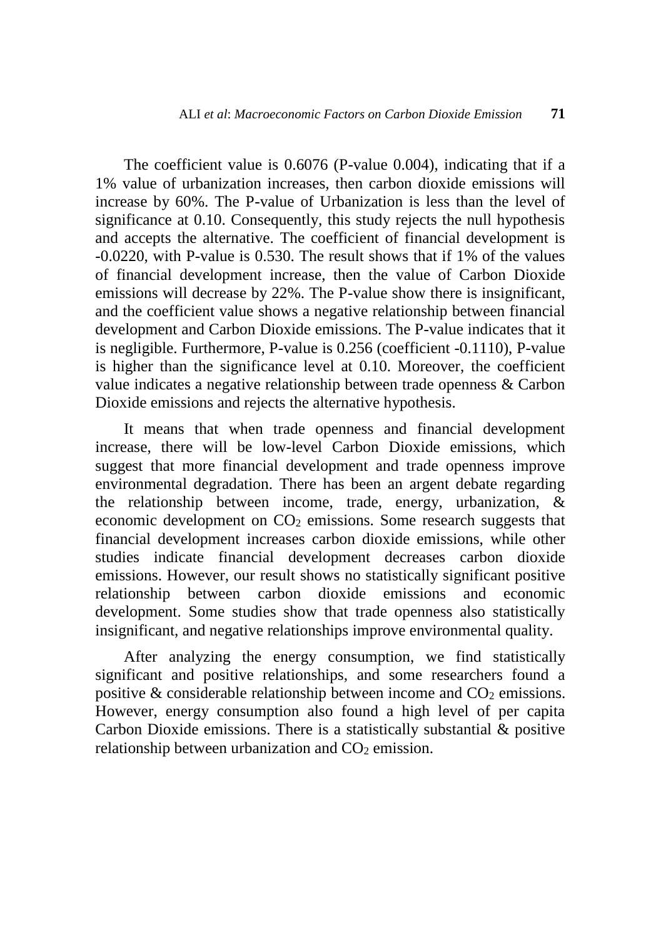The coefficient value is 0.6076 (P-value 0.004), indicating that if a 1% value of urbanization increases, then carbon dioxide emissions will increase by 60%. The P-value of Urbanization is less than the level of significance at 0.10. Consequently, this study rejects the null hypothesis and accepts the alternative. The coefficient of financial development is -0.0220, with P-value is 0.530. The result shows that if 1% of the values of financial development increase, then the value of Carbon Dioxide emissions will decrease by 22%. The P-value show there is insignificant, and the coefficient value shows a negative relationship between financial development and Carbon Dioxide emissions. The P-value indicates that it is negligible. Furthermore, P-value is 0.256 (coefficient -0.1110), P-value is higher than the significance level at 0.10. Moreover, the coefficient value indicates a negative relationship between trade openness & Carbon Dioxide emissions and rejects the alternative hypothesis.

It means that when trade openness and financial development increase, there will be low-level Carbon Dioxide emissions, which suggest that more financial development and trade openness improve environmental degradation. There has been an argent debate regarding the relationship between income, trade, energy, urbanization, & economic development on  $CO<sub>2</sub>$  emissions. Some research suggests that financial development increases carbon dioxide emissions, while other studies indicate financial development decreases carbon dioxide emissions. However, our result shows no statistically significant positive relationship between carbon dioxide emissions and economic development. Some studies show that trade openness also statistically insignificant, and negative relationships improve environmental quality.

After analyzing the energy consumption, we find statistically significant and positive relationships, and some researchers found a positive  $\&$  considerable relationship between income and  $CO<sub>2</sub>$  emissions. However, energy consumption also found a high level of per capita Carbon Dioxide emissions. There is a statistically substantial & positive relationship between urbanization and  $CO<sub>2</sub>$  emission.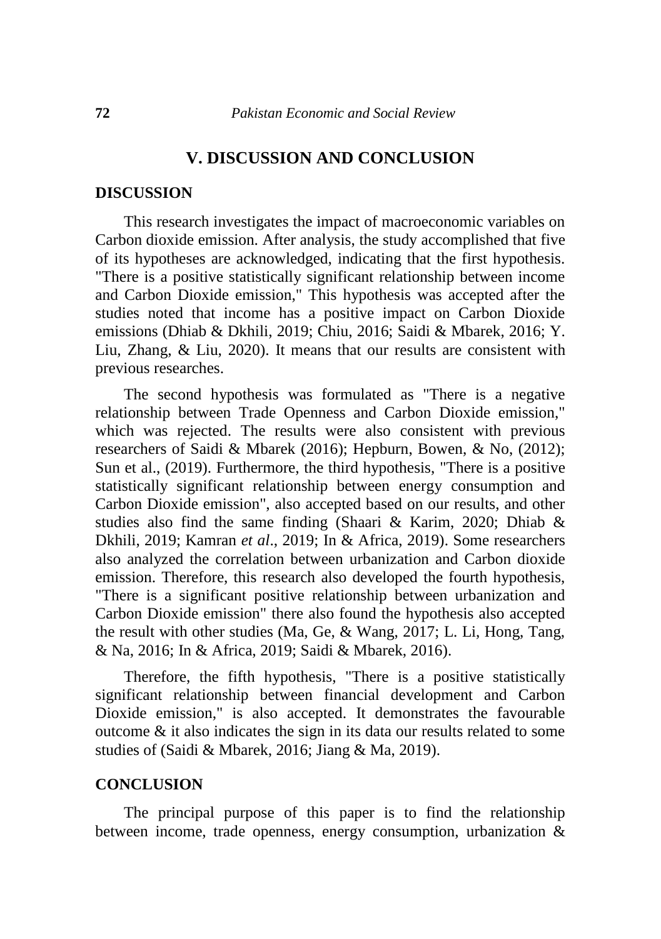# **V. DISCUSSION AND CONCLUSION**

#### **DISCUSSION**

This research investigates the impact of macroeconomic variables on Carbon dioxide emission. After analysis, the study accomplished that five of its hypotheses are acknowledged, indicating that the first hypothesis. "There is a positive statistically significant relationship between income and Carbon Dioxide emission," This hypothesis was accepted after the studies noted that income has a positive impact on Carbon Dioxide emissions (Dhiab & Dkhili, 2019; Chiu, 2016; Saidi & Mbarek, 2016; Y. Liu, Zhang, & Liu, 2020). It means that our results are consistent with previous researches.

The second hypothesis was formulated as "There is a negative relationship between Trade Openness and Carbon Dioxide emission," which was rejected. The results were also consistent with previous researchers of Saidi & Mbarek (2016); Hepburn, Bowen, & No, (2012); Sun et al., (2019). Furthermore, the third hypothesis, "There is a positive statistically significant relationship between energy consumption and Carbon Dioxide emission", also accepted based on our results, and other studies also find the same finding (Shaari & Karim, 2020; Dhiab & Dkhili, 2019; Kamran *et al*., 2019; In & Africa, 2019). Some researchers also analyzed the correlation between urbanization and Carbon dioxide emission. Therefore, this research also developed the fourth hypothesis, "There is a significant positive relationship between urbanization and Carbon Dioxide emission" there also found the hypothesis also accepted the result with other studies (Ma, Ge, & Wang, 2017; L. Li, Hong, Tang, & Na, 2016; In & Africa, 2019; Saidi & Mbarek, 2016).

Therefore, the fifth hypothesis, "There is a positive statistically significant relationship between financial development and Carbon Dioxide emission," is also accepted. It demonstrates the favourable outcome & it also indicates the sign in its data our results related to some studies of (Saidi & Mbarek, 2016; Jiang & Ma, 2019).

### **CONCLUSION**

The principal purpose of this paper is to find the relationship between income, trade openness, energy consumption, urbanization &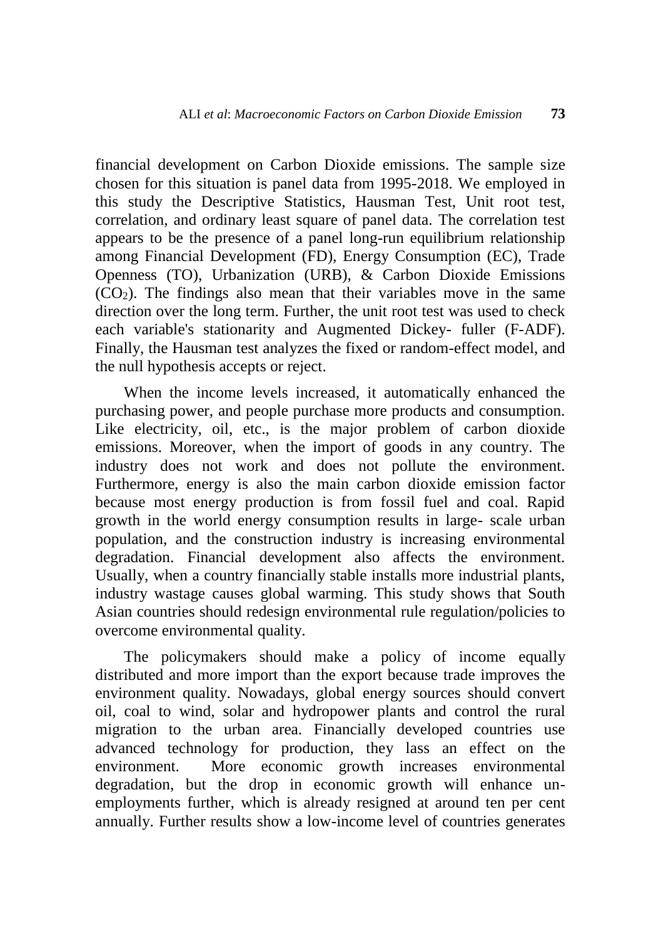financial development on Carbon Dioxide emissions. The sample size chosen for this situation is panel data from 1995-2018. We employed in this study the Descriptive Statistics, Hausman Test, Unit root test, correlation, and ordinary least square of panel data. The correlation test appears to be the presence of a panel long-run equilibrium relationship among Financial Development (FD), Energy Consumption (EC), Trade Openness (TO), Urbanization (URB), & Carbon Dioxide Emissions  $(CO<sub>2</sub>)$ . The findings also mean that their variables move in the same direction over the long term. Further, the unit root test was used to check each variable's stationarity and Augmented Dickey- fuller (F-ADF). Finally, the Hausman test analyzes the fixed or random-effect model, and the null hypothesis accepts or reject.

When the income levels increased, it automatically enhanced the purchasing power, and people purchase more products and consumption. Like electricity, oil, etc., is the major problem of carbon dioxide emissions. Moreover, when the import of goods in any country. The industry does not work and does not pollute the environment. Furthermore, energy is also the main carbon dioxide emission factor because most energy production is from fossil fuel and coal. Rapid growth in the world energy consumption results in large- scale urban population, and the construction industry is increasing environmental degradation. Financial development also affects the environment. Usually, when a country financially stable installs more industrial plants, industry wastage causes global warming. This study shows that South Asian countries should redesign environmental rule regulation/policies to overcome environmental quality.

The policymakers should make a policy of income equally distributed and more import than the export because trade improves the environment quality. Nowadays, global energy sources should convert oil, coal to wind, solar and hydropower plants and control the rural migration to the urban area. Financially developed countries use advanced technology for production, they lass an effect on the environment. More economic growth increases environmental degradation, but the drop in economic growth will enhance unemployments further, which is already resigned at around ten per cent annually. Further results show a low-income level of countries generates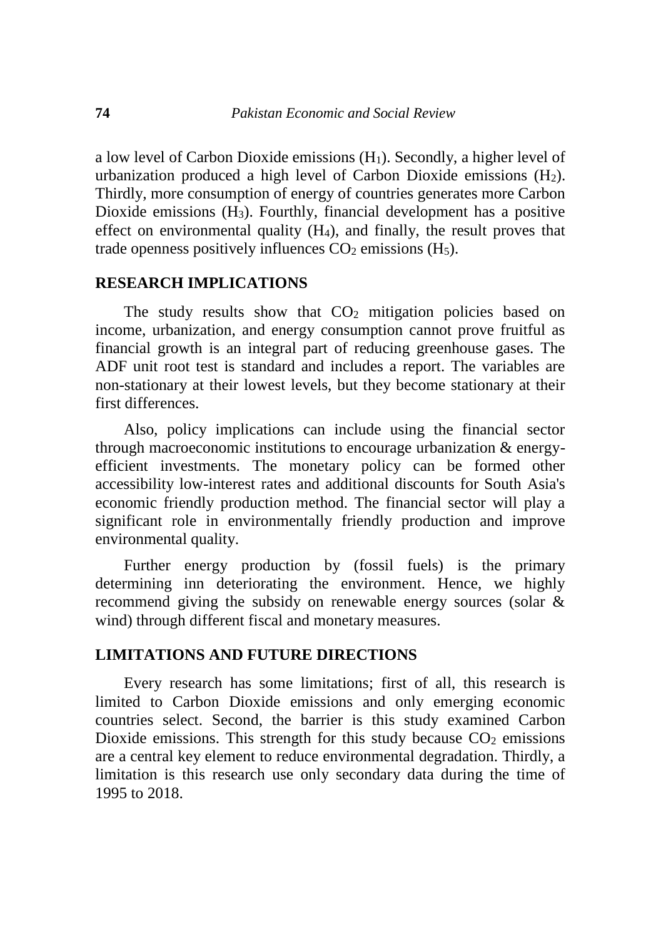a low level of Carbon Dioxide emissions (H1). Secondly, a higher level of urbanization produced a high level of Carbon Dioxide emissions  $(H_2)$ . Thirdly, more consumption of energy of countries generates more Carbon Dioxide emissions (H3). Fourthly, financial development has a positive effect on environmental quality (H4), and finally, the result proves that trade openness positively influences  $CO<sub>2</sub>$  emissions (H<sub>5</sub>).

# **RESEARCH IMPLICATIONS**

The study results show that  $CO<sub>2</sub>$  mitigation policies based on income, urbanization, and energy consumption cannot prove fruitful as financial growth is an integral part of reducing greenhouse gases. The ADF unit root test is standard and includes a report. The variables are non-stationary at their lowest levels, but they become stationary at their first differences.

Also, policy implications can include using the financial sector through macroeconomic institutions to encourage urbanization & energyefficient investments. The monetary policy can be formed other accessibility low-interest rates and additional discounts for South Asia's economic friendly production method. The financial sector will play a significant role in environmentally friendly production and improve environmental quality.

Further energy production by (fossil fuels) is the primary determining inn deteriorating the environment. Hence, we highly recommend giving the subsidy on renewable energy sources (solar & wind) through different fiscal and monetary measures.

# **LIMITATIONS AND FUTURE DIRECTIONS**

Every research has some limitations; first of all, this research is limited to Carbon Dioxide emissions and only emerging economic countries select. Second, the barrier is this study examined Carbon Dioxide emissions. This strength for this study because  $CO<sub>2</sub>$  emissions are a central key element to reduce environmental degradation. Thirdly, a limitation is this research use only secondary data during the time of 1995 to 2018.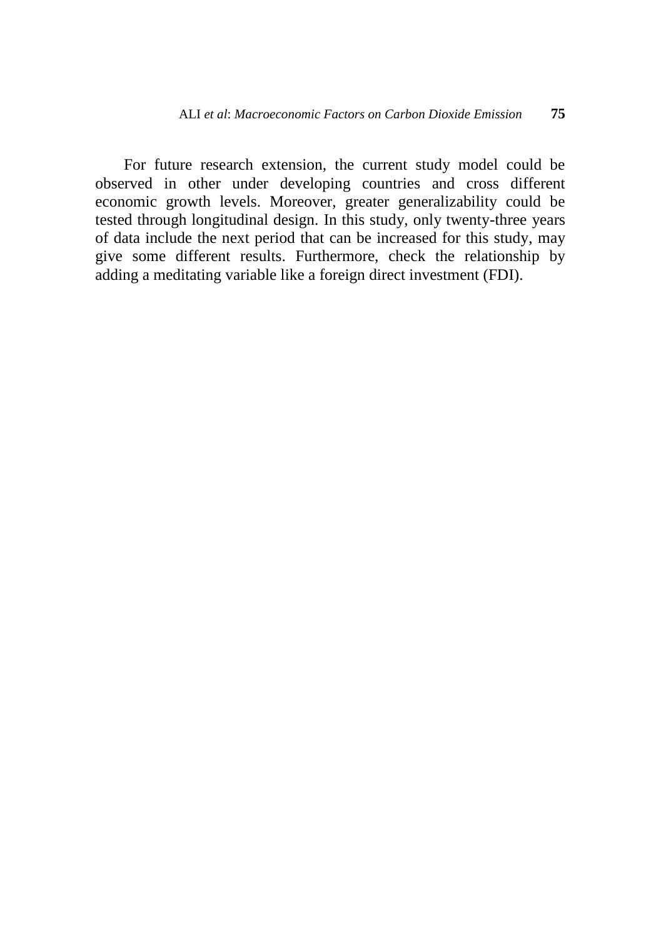For future research extension, the current study model could be observed in other under developing countries and cross different economic growth levels. Moreover, greater generalizability could be tested through longitudinal design. In this study, only twenty-three years of data include the next period that can be increased for this study, may give some different results. Furthermore, check the relationship by adding a meditating variable like a foreign direct investment (FDI).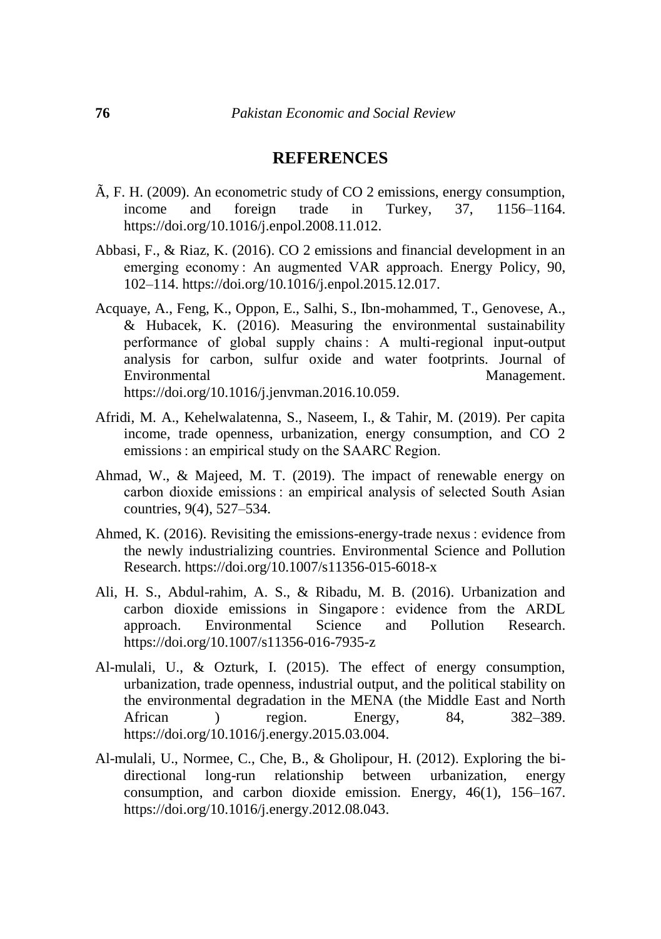# **REFERENCES**

- Ã, F. H. (2009). An econometric study of CO 2 emissions, energy consumption, income and foreign trade in Turkey, 37, 1156–1164. https://doi.org/10.1016/j.enpol.2008.11.012.
- Abbasi, F., & Riaz, K. (2016). CO 2 emissions and financial development in an emerging economy : An augmented VAR approach. Energy Policy, 90, 102–114. https://doi.org/10.1016/j.enpol.2015.12.017.
- Acquaye, A., Feng, K., Oppon, E., Salhi, S., Ibn-mohammed, T., Genovese, A., & Hubacek, K. (2016). Measuring the environmental sustainability performance of global supply chains : A multi-regional input-output analysis for carbon, sulfur oxide and water footprints. Journal of Environmental Management. https://doi.org/10.1016/j.jenvman.2016.10.059.
- Afridi, M. A., Kehelwalatenna, S., Naseem, I., & Tahir, M. (2019). Per capita income, trade openness, urbanization, energy consumption, and CO 2 emissions : an empirical study on the SAARC Region.
- Ahmad, W., & Majeed, M. T. (2019). The impact of renewable energy on carbon dioxide emissions : an empirical analysis of selected South Asian countries, 9(4), 527–534.
- Ahmed, K. (2016). Revisiting the emissions-energy-trade nexus : evidence from the newly industrializing countries. Environmental Science and Pollution Research. https://doi.org/10.1007/s11356-015-6018-x
- Ali, H. S., Abdul-rahim, A. S., & Ribadu, M. B. (2016). Urbanization and carbon dioxide emissions in Singapore : evidence from the ARDL approach. Environmental Science and Pollution Research. https://doi.org/10.1007/s11356-016-7935-z
- Al-mulali, U., & Ozturk, I. (2015). The effect of energy consumption, urbanization, trade openness, industrial output, and the political stability on the environmental degradation in the MENA (the Middle East and North African ) region. Energy, 84, 382–389. https://doi.org/10.1016/j.energy.2015.03.004.
- Al-mulali, U., Normee, C., Che, B., & Gholipour, H. (2012). Exploring the bidirectional long-run relationship between urbanization, energy consumption, and carbon dioxide emission. Energy, 46(1), 156–167. https://doi.org/10.1016/j.energy.2012.08.043.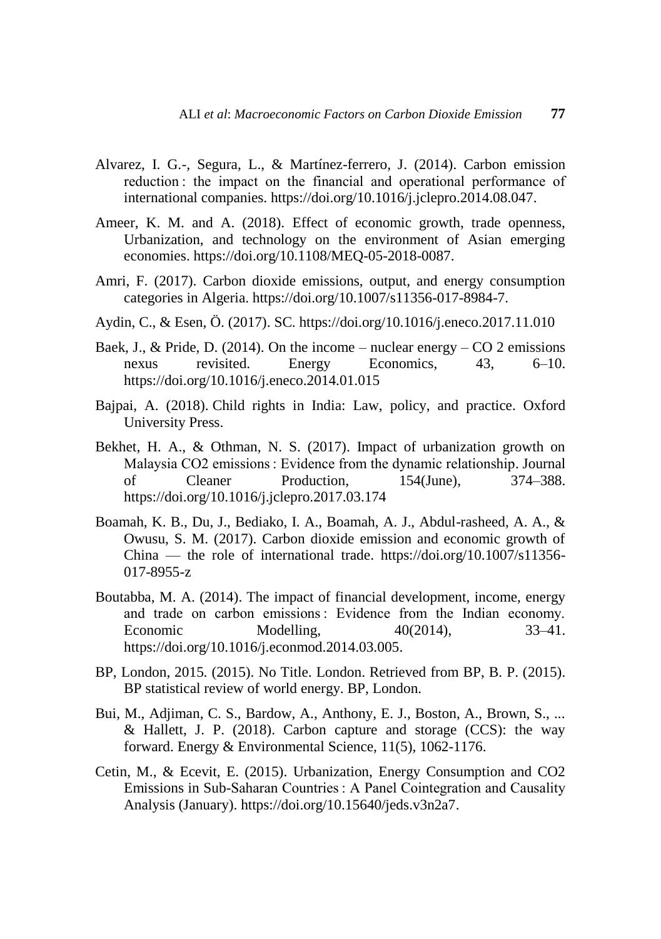- Alvarez, I. G.-, Segura, L., & Martínez-ferrero, J. (2014). Carbon emission reduction : the impact on the financial and operational performance of international companies. https://doi.org/10.1016/j.jclepro.2014.08.047.
- Ameer, K. M. and A. (2018). Effect of economic growth, trade openness, Urbanization, and technology on the environment of Asian emerging economies. https://doi.org/10.1108/MEQ-05-2018-0087.
- Amri, F. (2017). Carbon dioxide emissions, output, and energy consumption categories in Algeria. https://doi.org/10.1007/s11356-017-8984-7.
- Aydin, C., & Esen, Ö. (2017). SC. https://doi.org/10.1016/j.eneco.2017.11.010
- Baek, J., & Pride, D. (2014). On the income nuclear energy CO 2 emissions nexus revisited. Energy Economics, 43, 6–10. https://doi.org/10.1016/j.eneco.2014.01.015
- Bajpai, A. (2018). Child rights in India: Law, policy, and practice. Oxford University Press.
- Bekhet, H. A., & Othman, N. S. (2017). Impact of urbanization growth on Malaysia CO2 emissions : Evidence from the dynamic relationship. Journal of Cleaner Production, 154(June), 374–388. https://doi.org/10.1016/j.jclepro.2017.03.174
- Boamah, K. B., Du, J., Bediako, I. A., Boamah, A. J., Abdul-rasheed, A. A., & Owusu, S. M. (2017). Carbon dioxide emission and economic growth of China — the role of international trade. https://doi.org/10.1007/s11356- 017-8955-z
- Boutabba, M. A. (2014). The impact of financial development, income, energy and trade on carbon emissions : Evidence from the Indian economy. Economic Modelling, 40(2014), 33–41. https://doi.org/10.1016/j.econmod.2014.03.005.
- BP, London, 2015. (2015). No Title. London. Retrieved from BP, B. P. (2015). BP statistical review of world energy. BP, London.
- Bui, M., Adjiman, C. S., Bardow, A., Anthony, E. J., Boston, A., Brown, S., ... & Hallett, J. P. (2018). Carbon capture and storage (CCS): the way forward. Energy & Environmental Science, 11(5), 1062-1176.
- Cetin, M., & Ecevit, E. (2015). Urbanization, Energy Consumption and CO2 Emissions in Sub-Saharan Countries : A Panel Cointegration and Causality Analysis (January). https://doi.org/10.15640/jeds.v3n2a7.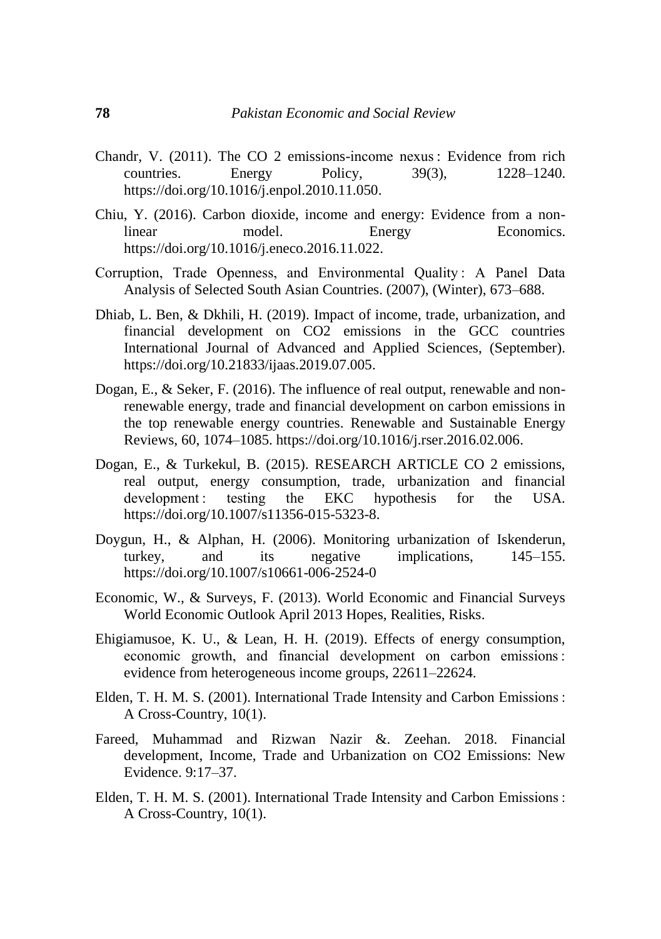- Chandr, V. (2011). The CO 2 emissions-income nexus : Evidence from rich countries. Energy Policy, 39(3), 1228–1240. https://doi.org/10.1016/j.enpol.2010.11.050.
- Chiu, Y. (2016). Carbon dioxide, income and energy: Evidence from a nonlinear model. Energy Economics. https://doi.org/10.1016/j.eneco.2016.11.022.
- Corruption, Trade Openness, and Environmental Quality : A Panel Data Analysis of Selected South Asian Countries. (2007), (Winter), 673–688.
- Dhiab, L. Ben, & Dkhili, H. (2019). Impact of income, trade, urbanization, and financial development on CO2 emissions in the GCC countries International Journal of Advanced and Applied Sciences, (September). https://doi.org/10.21833/ijaas.2019.07.005.
- Dogan, E., & Seker, F. (2016). The influence of real output, renewable and nonrenewable energy, trade and financial development on carbon emissions in the top renewable energy countries. Renewable and Sustainable Energy Reviews, 60, 1074–1085. https://doi.org/10.1016/j.rser.2016.02.006.
- Dogan, E., & Turkekul, B. (2015). RESEARCH ARTICLE CO 2 emissions, real output, energy consumption, trade, urbanization and financial development : testing the EKC hypothesis for the USA. https://doi.org/10.1007/s11356-015-5323-8.
- Doygun, H., & Alphan, H. (2006). Monitoring urbanization of Iskenderun, turkey, and its negative implications, 145–155. https://doi.org/10.1007/s10661-006-2524-0
- Economic, W., & Surveys, F. (2013). World Economic and Financial Surveys World Economic Outlook April 2013 Hopes, Realities, Risks.
- Ehigiamusoe, K. U., & Lean, H. H. (2019). Effects of energy consumption, economic growth, and financial development on carbon emissions : evidence from heterogeneous income groups, 22611–22624.
- Elden, T. H. M. S. (2001). International Trade Intensity and Carbon Emissions : A Cross-Country, 10(1).
- Fareed, Muhammad and Rizwan Nazir &. Zeehan. 2018. Financial development, Income, Trade and Urbanization on CO2 Emissions: New Evidence. 9:17–37.
- Elden, T. H. M. S. (2001). International Trade Intensity and Carbon Emissions : A Cross-Country, 10(1).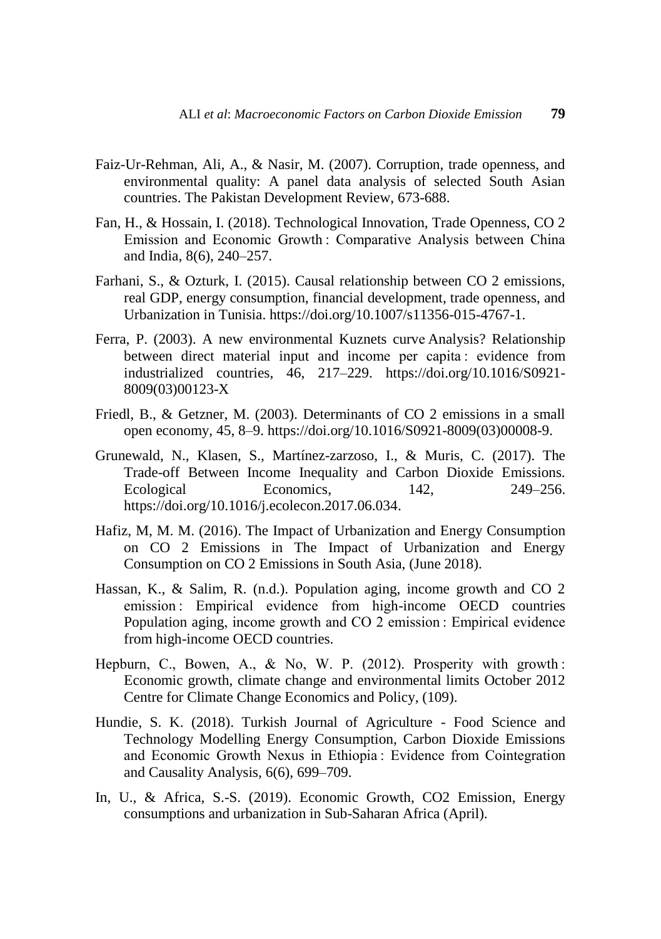- Faiz-Ur-Rehman, Ali, A., & Nasir, M. (2007). Corruption, trade openness, and environmental quality: A panel data analysis of selected South Asian countries. The Pakistan Development Review, 673-688.
- Fan, H., & Hossain, I. (2018). Technological Innovation, Trade Openness, CO 2 Emission and Economic Growth : Comparative Analysis between China and India, 8(6), 240–257.
- Farhani, S., & Ozturk, I. (2015). Causal relationship between CO 2 emissions, real GDP, energy consumption, financial development, trade openness, and Urbanization in Tunisia. https://doi.org/10.1007/s11356-015-4767-1.
- Ferra, P. (2003). A new environmental Kuznets curve Analysis? Relationship between direct material input and income per capita : evidence from industrialized countries, 46, 217–229. https://doi.org/10.1016/S0921- 8009(03)00123-X
- Friedl, B., & Getzner, M. (2003). Determinants of CO 2 emissions in a small open economy, 45, 8–9. https://doi.org/10.1016/S0921-8009(03)00008-9.
- Grunewald, N., Klasen, S., Martínez-zarzoso, I., & Muris, C. (2017). The Trade-off Between Income Inequality and Carbon Dioxide Emissions. Ecological Economics. 142, 249–256. https://doi.org/10.1016/j.ecolecon.2017.06.034.
- Hafiz, M, M. M. (2016). The Impact of Urbanization and Energy Consumption on CO 2 Emissions in The Impact of Urbanization and Energy Consumption on CO 2 Emissions in South Asia, (June 2018).
- Hassan, K., & Salim, R. (n.d.). Population aging, income growth and CO 2 emission : Empirical evidence from high-income OECD countries Population aging, income growth and CO 2 emission : Empirical evidence from high-income OECD countries.
- Hepburn, C., Bowen, A., & No, W. P. (2012). Prosperity with growth : Economic growth, climate change and environmental limits October 2012 Centre for Climate Change Economics and Policy, (109).
- Hundie, S. K. (2018). Turkish Journal of Agriculture Food Science and Technology Modelling Energy Consumption, Carbon Dioxide Emissions and Economic Growth Nexus in Ethiopia : Evidence from Cointegration and Causality Analysis, 6(6), 699–709.
- In, U., & Africa, S.-S. (2019). Economic Growth, CO2 Emission, Energy consumptions and urbanization in Sub-Saharan Africa (April).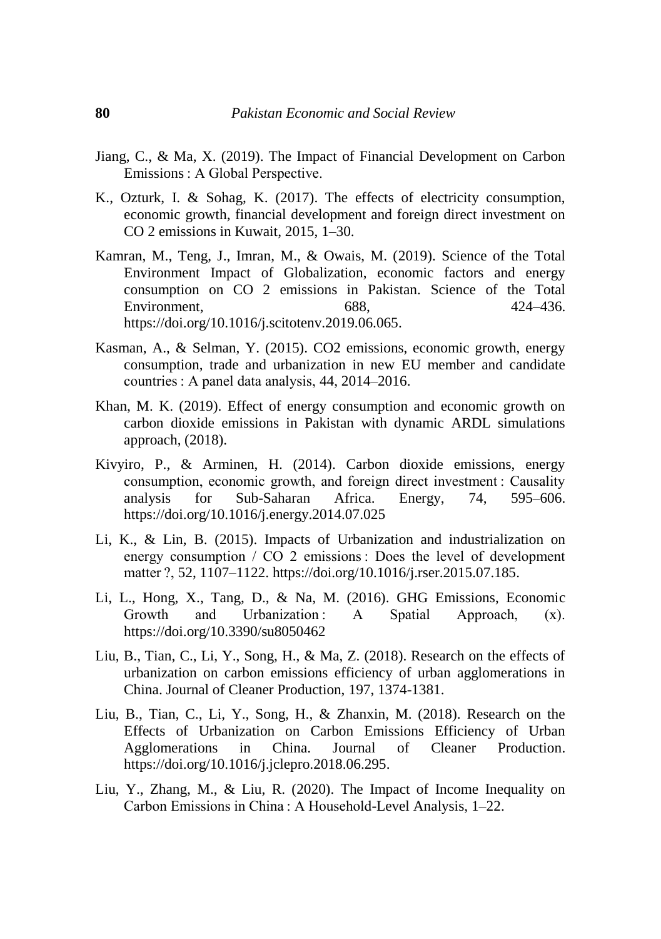- Jiang, C., & Ma, X. (2019). The Impact of Financial Development on Carbon Emissions : A Global Perspective.
- K., Ozturk, I. & Sohag, K. (2017). The effects of electricity consumption, economic growth, financial development and foreign direct investment on CO 2 emissions in Kuwait, 2015, 1–30.
- Kamran, M., Teng, J., Imran, M., & Owais, M. (2019). Science of the Total Environment Impact of Globalization, economic factors and energy consumption on CO 2 emissions in Pakistan. Science of the Total Environment. 688, 424–436. https://doi.org/10.1016/j.scitotenv.2019.06.065.
- Kasman, A., & Selman, Y. (2015). CO2 emissions, economic growth, energy consumption, trade and urbanization in new EU member and candidate countries : A panel data analysis, 44, 2014–2016.
- Khan, M. K. (2019). Effect of energy consumption and economic growth on carbon dioxide emissions in Pakistan with dynamic ARDL simulations approach, (2018).
- Kivyiro, P., & Arminen, H. (2014). Carbon dioxide emissions, energy consumption, economic growth, and foreign direct investment : Causality analysis for Sub-Saharan Africa. Energy, 74, 595–606. https://doi.org/10.1016/j.energy.2014.07.025
- Li, K., & Lin, B. (2015). Impacts of Urbanization and industrialization on energy consumption / CO 2 emissions : Does the level of development matter ?, 52, 1107–1122. https://doi.org/10.1016/j.rser.2015.07.185.
- Li, L., Hong, X., Tang, D., & Na, M. (2016). GHG Emissions, Economic Growth and Urbanization : A Spatial Approach, (x). https://doi.org/10.3390/su8050462
- Liu, B., Tian, C., Li, Y., Song, H., & Ma, Z. (2018). Research on the effects of urbanization on carbon emissions efficiency of urban agglomerations in China. Journal of Cleaner Production, 197, 1374-1381.
- Liu, B., Tian, C., Li, Y., Song, H., & Zhanxin, M. (2018). Research on the Effects of Urbanization on Carbon Emissions Efficiency of Urban Agglomerations in China. Journal of Cleaner Production. https://doi.org/10.1016/j.jclepro.2018.06.295.
- Liu, Y., Zhang, M., & Liu, R. (2020). The Impact of Income Inequality on Carbon Emissions in China : A Household-Level Analysis, 1–22.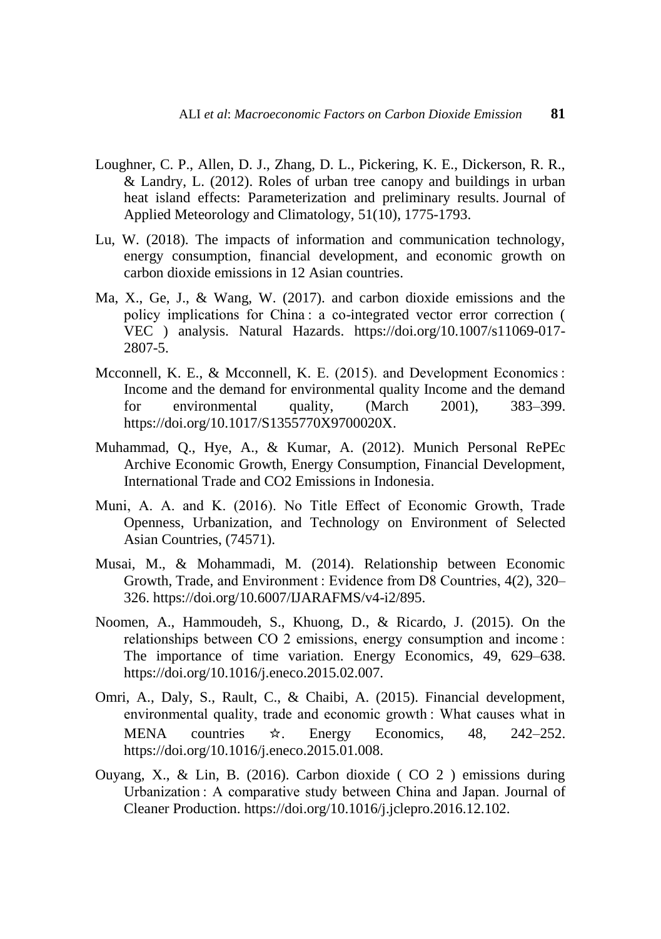- Loughner, C. P., Allen, D. J., Zhang, D. L., Pickering, K. E., Dickerson, R. R., & Landry, L. (2012). Roles of urban tree canopy and buildings in urban heat island effects: Parameterization and preliminary results. Journal of Applied Meteorology and Climatology, 51(10), 1775-1793.
- Lu, W. (2018). The impacts of information and communication technology, energy consumption, financial development, and economic growth on carbon dioxide emissions in 12 Asian countries.
- Ma, X., Ge, J., & Wang, W. (2017). and carbon dioxide emissions and the policy implications for China : a co-integrated vector error correction ( VEC ) analysis. Natural Hazards. https://doi.org/10.1007/s11069-017- 2807-5.
- Mcconnell, K. E., & Mcconnell, K. E. (2015). and Development Economics : Income and the demand for environmental quality Income and the demand for environmental quality, (March 2001), 383–399. https://doi.org/10.1017/S1355770X9700020X.
- Muhammad, Q., Hye, A., & Kumar, A. (2012). Munich Personal RePEc Archive Economic Growth, Energy Consumption, Financial Development, International Trade and CO2 Emissions in Indonesia.
- Muni, A. A. and K. (2016). No Title Effect of Economic Growth, Trade Openness, Urbanization, and Technology on Environment of Selected Asian Countries, (74571).
- Musai, M., & Mohammadi, M. (2014). Relationship between Economic Growth, Trade, and Environment : Evidence from D8 Countries, 4(2), 320– 326. https://doi.org/10.6007/IJARAFMS/v4-i2/895.
- Noomen, A., Hammoudeh, S., Khuong, D., & Ricardo, J. (2015). On the relationships between CO 2 emissions, energy consumption and income : The importance of time variation. Energy Economics, 49, 629–638. [https://doi.org/10.1016/j.eneco.2015.02.007.](https://doi.org/10.1016/j.eneco.2015.02.007)
- Omri, A., Daly, S., Rault, C., & Chaibi, A. (2015). Financial development, environmental quality, trade and economic growth : What causes what in MENA countries ☆. Energy Economics, 48, 242–252. https://doi.org/10.1016/j.eneco.2015.01.008.
- Ouyang, X., & Lin, B. (2016). Carbon dioxide ( CO 2 ) emissions during Urbanization : A comparative study between China and Japan. Journal of Cleaner Production. https://doi.org/10.1016/j.jclepro.2016.12.102.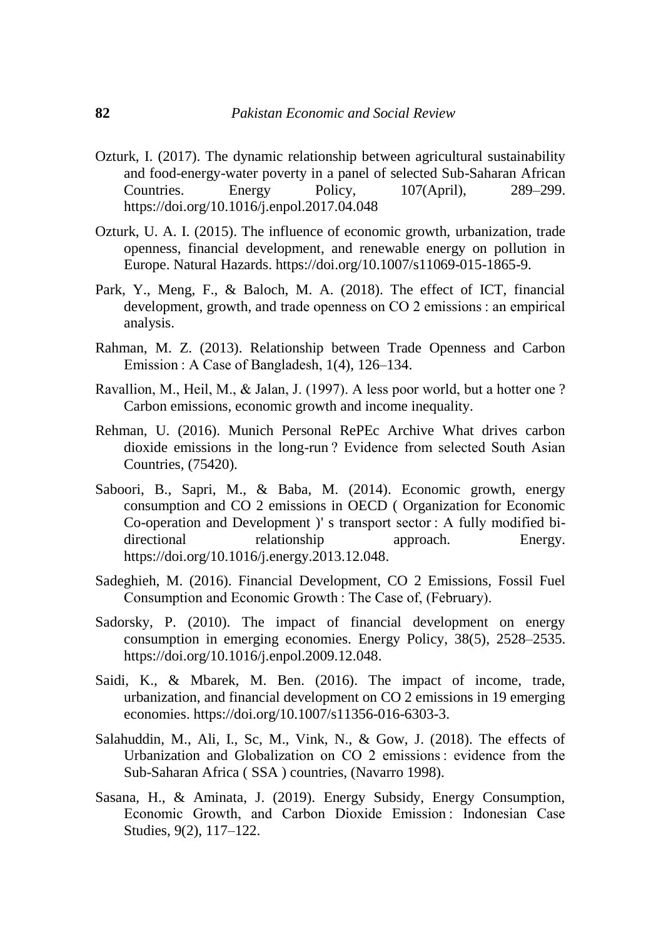- Ozturk, I. (2017). The dynamic relationship between agricultural sustainability and food-energy-water poverty in a panel of selected Sub-Saharan African Countries. Energy Policy, 107(April), 289–299. https://doi.org/10.1016/j.enpol.2017.04.048
- Ozturk, U. A. I. (2015). The influence of economic growth, urbanization, trade openness, financial development, and renewable energy on pollution in Europe. Natural Hazards. https://doi.org/10.1007/s11069-015-1865-9.
- Park, Y., Meng, F., & Baloch, M. A. (2018). The effect of ICT, financial development, growth, and trade openness on CO 2 emissions : an empirical analysis.
- Rahman, M. Z. (2013). Relationship between Trade Openness and Carbon Emission : A Case of Bangladesh, 1(4), 126–134.
- Ravallion, M., Heil, M., & Jalan, J. (1997). A less poor world, but a hotter one ? Carbon emissions, economic growth and income inequality.
- Rehman, U. (2016). Munich Personal RePEc Archive What drives carbon dioxide emissions in the long-run ? Evidence from selected South Asian Countries, (75420).
- Saboori, B., Sapri, M., & Baba, M. (2014). Economic growth, energy consumption and CO 2 emissions in OECD ( Organization for Economic Co-operation and Development )' s transport sector : A fully modified bidirectional relationship approach. Energy. https://doi.org/10.1016/j.energy.2013.12.048.
- Sadeghieh, M. (2016). Financial Development, CO 2 Emissions, Fossil Fuel Consumption and Economic Growth : The Case of, (February).
- Sadorsky, P. (2010). The impact of financial development on energy consumption in emerging economies. Energy Policy, 38(5), 2528–2535. https://doi.org/10.1016/j.enpol.2009.12.048.
- Saidi, K., & Mbarek, M. Ben. (2016). The impact of income, trade, urbanization, and financial development on CO 2 emissions in 19 emerging economies. https://doi.org/10.1007/s11356-016-6303-3.
- Salahuddin, M., Ali, I., Sc, M., Vink, N., & Gow, J. (2018). The effects of Urbanization and Globalization on CO 2 emissions : evidence from the Sub-Saharan Africa ( SSA ) countries, (Navarro 1998).
- Sasana, H., & Aminata, J. (2019). Energy Subsidy, Energy Consumption, Economic Growth, and Carbon Dioxide Emission : Indonesian Case Studies, 9(2), 117–122.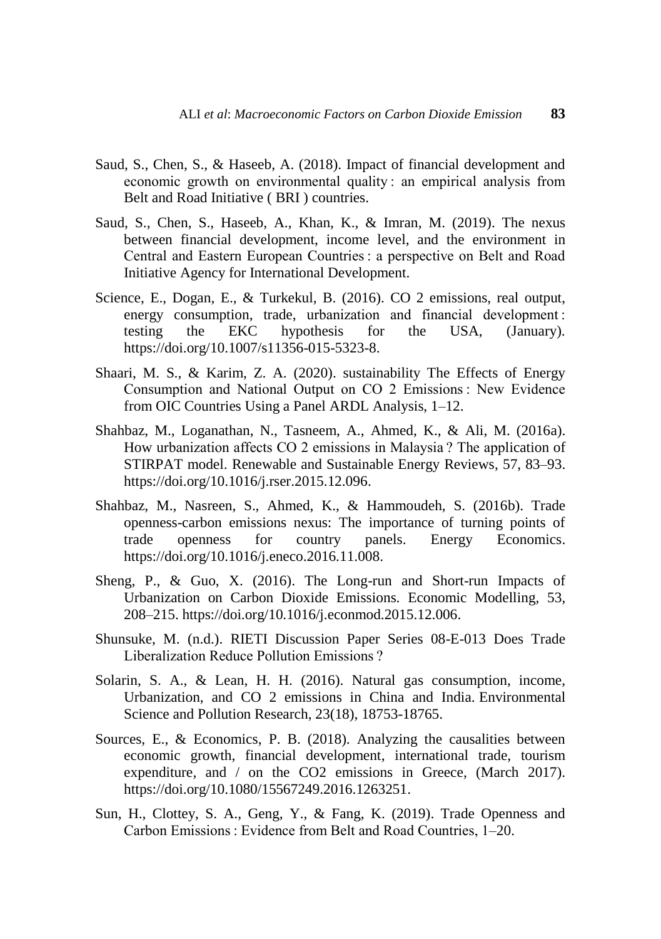- Saud, S., Chen, S., & Haseeb, A. (2018). Impact of financial development and economic growth on environmental quality : an empirical analysis from Belt and Road Initiative ( BRI ) countries.
- Saud, S., Chen, S., Haseeb, A., Khan, K., & Imran, M. (2019). The nexus between financial development, income level, and the environment in Central and Eastern European Countries : a perspective on Belt and Road Initiative Agency for International Development.
- Science, E., Dogan, E., & Turkekul, B. (2016). CO 2 emissions, real output, energy consumption, trade, urbanization and financial development : testing the EKC hypothesis for the USA, (January). https://doi.org/10.1007/s11356-015-5323-8.
- Shaari, M. S., & Karim, Z. A. (2020). sustainability The Effects of Energy Consumption and National Output on CO 2 Emissions : New Evidence from OIC Countries Using a Panel ARDL Analysis, 1–12.
- Shahbaz, M., Loganathan, N., Tasneem, A., Ahmed, K., & Ali, M. (2016a). How urbanization affects CO 2 emissions in Malaysia ? The application of STIRPAT model. Renewable and Sustainable Energy Reviews, 57, 83–93. [https://doi.org/10.1016/j.rser.2015.12.096.](https://doi.org/10.1016/j.rser.2015.12.096)
- Shahbaz, M., Nasreen, S., Ahmed, K., & Hammoudeh, S. (2016b). Trade openness-carbon emissions nexus: The importance of turning points of trade openness for country panels. Energy Economics. https://doi.org/10.1016/j.eneco.2016.11.008.
- Sheng, P., & Guo, X. (2016). The Long-run and Short-run Impacts of Urbanization on Carbon Dioxide Emissions. Economic Modelling, 53, 208–215. https://doi.org/10.1016/j.econmod.2015.12.006.
- Shunsuke, M. (n.d.). RIETI Discussion Paper Series 08-E-013 Does Trade Liberalization Reduce Pollution Emissions ?
- Solarin, S. A., & Lean, H. H. (2016). Natural gas consumption, income, Urbanization, and CO 2 emissions in China and India. Environmental Science and Pollution Research, 23(18), 18753-18765.
- Sources, E., & Economics, P. B. (2018). Analyzing the causalities between economic growth, financial development, international trade, tourism expenditure, and / on the CO2 emissions in Greece, (March 2017). https://doi.org/10.1080/15567249.2016.1263251.
- Sun, H., Clottey, S. A., Geng, Y., & Fang, K. (2019). Trade Openness and Carbon Emissions : Evidence from Belt and Road Countries, 1–20.